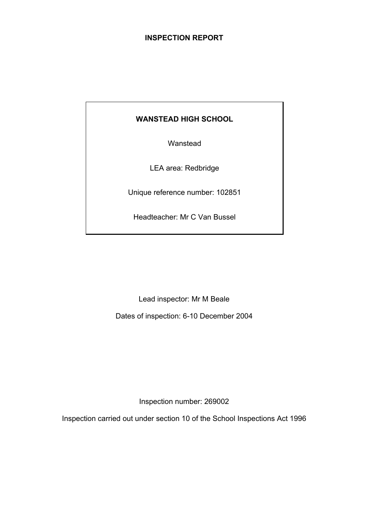# **INSPECTION REPORT**

# **WANSTEAD HIGH SCHOOL**

Wanstead

LEA area: Redbridge

Unique reference number: 102851

Headteacher: Mr C Van Bussel

Lead inspector: Mr M Beale

Dates of inspection: 6-10 December 2004

Inspection number: 269002

Inspection carried out under section 10 of the School Inspections Act 1996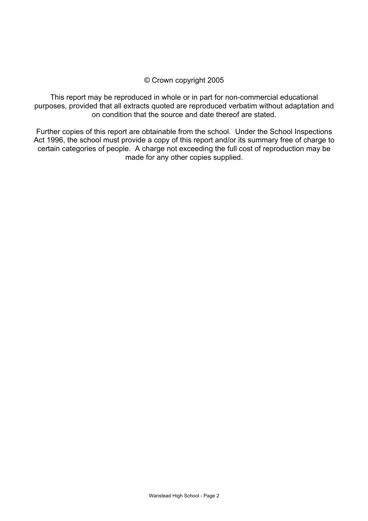#### © Crown copyright 2005

This report may be reproduced in whole or in part for non-commercial educational purposes, provided that all extracts quoted are reproduced verbatim without adaptation and on condition that the source and date thereof are stated.

Further copies of this report are obtainable from the school. Under the School Inspections Act 1996, the school must provide a copy of this report and/or its summary free of charge to certain categories of people. A charge not exceeding the full cost of reproduction may be made for any other copies supplied.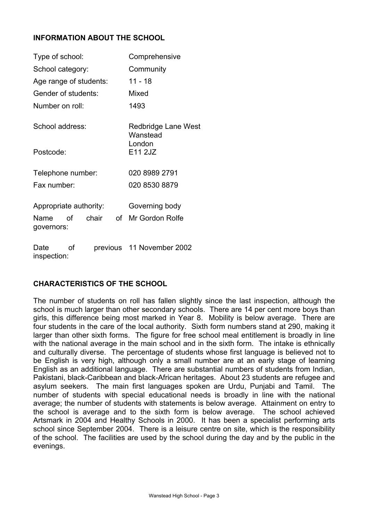# **INFORMATION ABOUT THE SCHOOL**

| Type of school:        |      |                        | Comprehensive  |                                 |
|------------------------|------|------------------------|----------------|---------------------------------|
| School category:       |      |                        | Community      |                                 |
|                        |      | Age range of students: |                | 11 - 18                         |
| Gender of students:    |      |                        |                | Mixed                           |
| Number on roll:        |      |                        |                | 1493                            |
| School address:        |      |                        |                | Redbridge Lane West<br>Wanstead |
| Postcode:              |      |                        |                | London<br>E11 2JZ               |
| Telephone number:      |      |                        |                | 020 8989 2791                   |
| Fax number:            |      |                        | 020 8530 8879  |                                 |
| Appropriate authority: |      |                        | Governing body |                                 |
| Name<br>governors:     | οf   | chair                  |                | of Mr Gordon Rolfe              |
| ∩oto                   | ⊸ ∩f |                        |                | provinue 11 November 2002       |

Date of previous 11 November 2002 inspection:

# **CHARACTERISTICS OF THE SCHOOL**

The number of students on roll has fallen slightly since the last inspection, although the school is much larger than other secondary schools. There are 14 per cent more boys than girls, this difference being most marked in Year 8. Mobility is below average. There are four students in the care of the local authority. Sixth form numbers stand at 290, making it larger than other sixth forms. The figure for free school meal entitlement is broadly in line with the national average in the main school and in the sixth form. The intake is ethnically and culturally diverse. The percentage of students whose first language is believed not to be English is very high, although only a small number are at an early stage of learning English as an additional language. There are substantial numbers of students from Indian, Pakistani, black-Caribbean and black-African heritages. About 23 students are refugee and asylum seekers. The main first languages spoken are Urdu, Punjabi and Tamil. The number of students with special educational needs is broadly in line with the national average; the number of students with statements is below average. Attainment on entry to the school is average and to the sixth form is below average. The school achieved Artsmark in 2004 and Healthy Schools in 2000. It has been a specialist performing arts school since September 2004. There is a leisure centre on site, which is the responsibility of the school. The facilities are used by the school during the day and by the public in the evenings.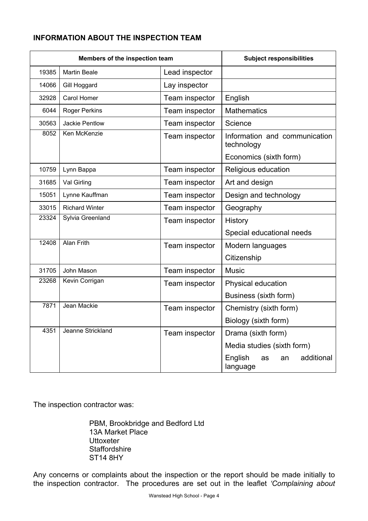# **INFORMATION ABOUT THE INSPECTION TEAM**

| Members of the inspection team |                       | <b>Subject responsibilities</b> |                                               |
|--------------------------------|-----------------------|---------------------------------|-----------------------------------------------|
| 19385                          | <b>Martin Beale</b>   | Lead inspector                  |                                               |
| 14066                          | Gill Hoggard          | Lay inspector                   |                                               |
| 32928                          | Carol Homer           | Team inspector                  | English                                       |
| 6044                           | <b>Roger Perkins</b>  | Team inspector                  | <b>Mathematics</b>                            |
| 30563                          | Jackie Pentlow        | Team inspector                  | Science                                       |
| 8052                           | Ken McKenzie          | Team inspector                  | Information and communication<br>technology   |
|                                |                       |                                 | Economics (sixth form)                        |
| 10759                          | Lynn Bappa            | Team inspector                  | Religious education                           |
| 31685                          | Val Girling           | Team inspector                  | Art and design                                |
| 15051                          | Lynne Kauffman        | Team inspector                  | Design and technology                         |
| 33015                          | <b>Richard Winter</b> | Team inspector                  | Geography                                     |
| 23324                          | Sylvia Greenland      | Team inspector                  | <b>History</b>                                |
|                                |                       |                                 | Special educational needs                     |
| 12408                          | <b>Alan Frith</b>     | Team inspector                  | Modern languages                              |
|                                |                       |                                 | Citizenship                                   |
| 31705                          | John Mason            | Team inspector                  | <b>Music</b>                                  |
| 23268                          | Kevin Corrigan        | Team inspector                  | Physical education                            |
|                                |                       |                                 | Business (sixth form)                         |
| 7871                           | Jean Mackie           | Team inspector                  | Chemistry (sixth form)                        |
|                                |                       |                                 | Biology (sixth form)                          |
| 4351                           | Jeanne Strickland     | Team inspector                  | Drama (sixth form)                            |
|                                |                       |                                 | Media studies (sixth form)                    |
|                                |                       |                                 | additional<br>English<br>as<br>an<br>language |

The inspection contractor was:

 PBM, Brookbridge and Bedford Ltd 13A Market Place **Uttoxeter Staffordshire** ST14 8HY

Any concerns or complaints about the inspection or the report should be made initially to the inspection contractor. The procedures are set out in the leaflet *'Complaining about*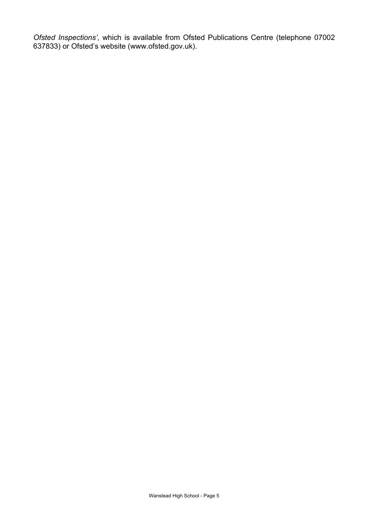*Ofsted Inspections'*, which is available from Ofsted Publications Centre (telephone 07002 637833) or Ofsted's website (www.ofsted.gov.uk).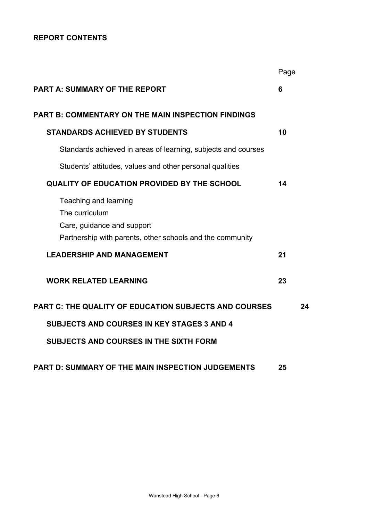# **REPORT CONTENTS**

|                                                                                                                                    | Page |    |
|------------------------------------------------------------------------------------------------------------------------------------|------|----|
| <b>PART A: SUMMARY OF THE REPORT</b>                                                                                               | 6    |    |
| <b>PART B: COMMENTARY ON THE MAIN INSPECTION FINDINGS</b>                                                                          |      |    |
| <b>STANDARDS ACHIEVED BY STUDENTS</b>                                                                                              | 10   |    |
| Standards achieved in areas of learning, subjects and courses                                                                      |      |    |
| Students' attitudes, values and other personal qualities                                                                           |      |    |
| <b>QUALITY OF EDUCATION PROVIDED BY THE SCHOOL</b>                                                                                 | 14   |    |
| Teaching and learning<br>The curriculum<br>Care, guidance and support<br>Partnership with parents, other schools and the community |      |    |
| <b>LEADERSHIP AND MANAGEMENT</b>                                                                                                   | 21   |    |
| <b>WORK RELATED LEARNING</b>                                                                                                       | 23   |    |
| <b>PART C: THE QUALITY OF EDUCATION SUBJECTS AND COURSES</b>                                                                       |      | 24 |
| <b>SUBJECTS AND COURSES IN KEY STAGES 3 AND 4</b>                                                                                  |      |    |
| SUBJECTS AND COURSES IN THE SIXTH FORM                                                                                             |      |    |
| <b>PART D: SUMMARY OF THE MAIN INSPECTION JUDGEMENTS</b>                                                                           | 25   |    |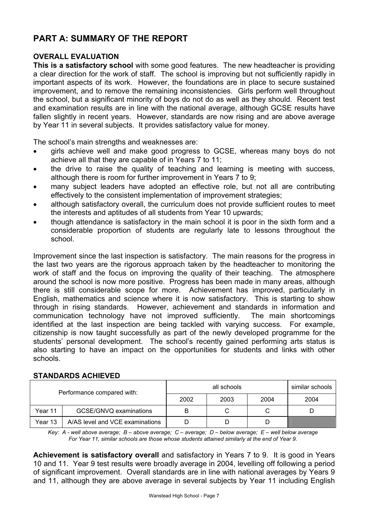# **PART A: SUMMARY OF THE REPORT**

#### **OVERALL EVALUATION**

**This is a satisfactory school** with some good features. The new headteacher is providing a clear direction for the work of staff. The school is improving but not sufficiently rapidly in important aspects of its work. However, the foundations are in place to secure sustained improvement, and to remove the remaining inconsistencies. Girls perform well throughout the school, but a significant minority of boys do not do as well as they should. Recent test and examination results are in line with the national average, although GCSE results have fallen slightly in recent years. However, standards are now rising and are above average by Year 11 in several subjects. It provides satisfactory value for money.

The school's main strengths and weaknesses are:

- girls achieve well and make good progress to GCSE, whereas many boys do not achieve all that they are capable of in Years 7 to 11;
- the drive to raise the quality of teaching and learning is meeting with success, although there is room for further improvement in Years 7 to 9;
- many subject leaders have adopted an effective role, but not all are contributing effectively to the consistent implementation of improvement strategies;
- although satisfactory overall, the curriculum does not provide sufficient routes to meet the interests and aptitudes of all students from Year 10 upwards;
- though attendance is satisfactory in the main school it is poor in the sixth form and a considerable proportion of students are regularly late to lessons throughout the school.

Improvement since the last inspection is satisfactory. The main reasons for the progress in the last two years are the rigorous approach taken by the headteacher to monitoring the work of staff and the focus on improving the quality of their teaching. The atmosphere around the school is now more positive. Progress has been made in many areas, although there is still considerable scope for more. Achievement has improved, particularly in English, mathematics and science where it is now satisfactory. This is starting to show through in rising standards. However, achievement and standards in information and communication technology have not improved sufficiently. The main shortcomings identified at the last inspection are being tackled with varying success. For example, citizenship is now taught successfully as part of the newly developed programme for the students' personal development. The school's recently gained performing arts status is also starting to have an impact on the opportunities for students and links with other schools.

# all schools similar schools Performance compared with: 2002 2003 2004 2004 Year 11 GCSE/GNVQ examinations B C C D Year 13 A/AS level and VCE examinations **D** D D D D D

#### **STANDARDS ACHIEVED**

*Key: A - well above average; B – above average; C – average; D – below average; E – well below average For Year 11, similar schools are those whose students attained similarly at the end of Year 9.* 

**Achievement is satisfactory overall** and satisfactory in Years 7 to 9. It is good in Years 10 and 11. Year 9 test results were broadly average in 2004, levelling off following a period of significant improvement. Overall standards are in line with national averages by Years 9 and 11, although they are above average in several subjects by Year 11 including English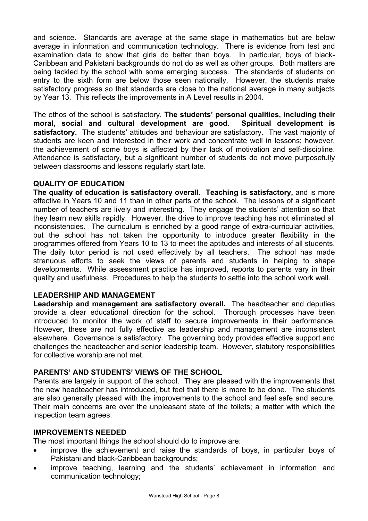and science. Standards are average at the same stage in mathematics but are below average in information and communication technology. There is evidence from test and examination data to show that girls do better than boys. In particular, boys of black-Caribbean and Pakistani backgrounds do not do as well as other groups. Both matters are being tackled by the school with some emerging success. The standards of students on entry to the sixth form are below those seen nationally. However, the students make satisfactory progress so that standards are close to the national average in many subjects by Year 13. This reflects the improvements in A Level results in 2004.

The ethos of the school is satisfactory. **The students' personal qualities, including their moral, social and cultural development are good. Spiritual development is satisfactory.** The students' attitudes and behaviour are satisfactory. The vast majority of students are keen and interested in their work and concentrate well in lessons; however, the achievement of some boys is affected by their lack of motivation and self-discipline. Attendance is satisfactory, but a significant number of students do not move purposefully between classrooms and lessons regularly start late.

## **QUALITY OF EDUCATION**

**The quality of education is satisfactory overall. Teaching is satisfactory,** and is more effective in Years 10 and 11 than in other parts of the school. The lessons of a significant number of teachers are lively and interesting. They engage the students' attention so that they learn new skills rapidly. However, the drive to improve teaching has not eliminated all inconsistencies. The curriculum is enriched by a good range of extra-curricular activities, but the school has not taken the opportunity to introduce greater flexibility in the programmes offered from Years 10 to 13 to meet the aptitudes and interests of all students. The daily tutor period is not used effectively by all teachers. The school has made strenuous efforts to seek the views of parents and students in helping to shape developments. While assessment practice has improved, reports to parents vary in their quality and usefulness. Procedures to help the students to settle into the school work well.

#### **LEADERSHIP AND MANAGEMENT**

**Leadership and management are satisfactory overall.** The headteacher and deputies provide a clear educational direction for the school. Thorough processes have been introduced to monitor the work of staff to secure improvements in their performance. However, these are not fully effective as leadership and management are inconsistent elsewhere. Governance is satisfactory. The governing body provides effective support and challenges the headteacher and senior leadership team. However, statutory responsibilities for collective worship are not met.

# **PARENTS' AND STUDENTS' VIEWS OF THE SCHOOL**

Parents are largely in support of the school. They are pleased with the improvements that the new headteacher has introduced, but feel that there is more to be done. The students are also generally pleased with the improvements to the school and feel safe and secure. Their main concerns are over the unpleasant state of the toilets; a matter with which the inspection team agrees.

#### **IMPROVEMENTS NEEDED**

The most important things the school should do to improve are:

- improve the achievement and raise the standards of boys, in particular boys of Pakistani and black-Caribbean backgrounds;
- improve teaching, learning and the students' achievement in information and communication technology;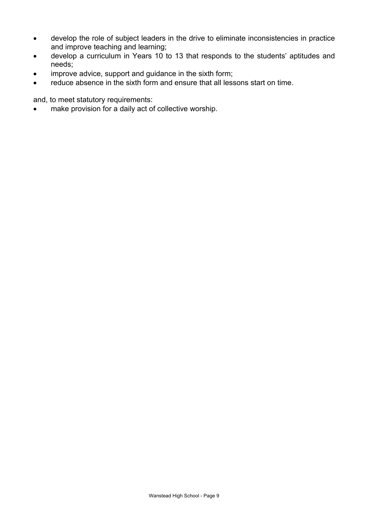- develop the role of subject leaders in the drive to eliminate inconsistencies in practice and improve teaching and learning;
- develop a curriculum in Years 10 to 13 that responds to the students' aptitudes and needs;
- improve advice, support and guidance in the sixth form;
- reduce absence in the sixth form and ensure that all lessons start on time.

and, to meet statutory requirements:

• make provision for a daily act of collective worship.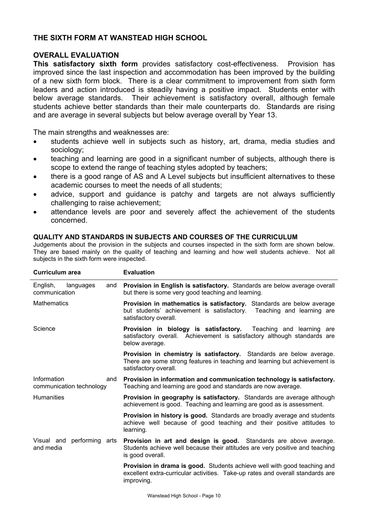## **THE SIXTH FORM AT WANSTEAD HIGH SCHOOL**

#### **OVERALL EVALUATION**

**This satisfactory sixth form** provides satisfactory cost-effectiveness. Provision has improved since the last inspection and accommodation has been improved by the building of a new sixth form block. There is a clear commitment to improvement from sixth form leaders and action introduced is steadily having a positive impact. Students enter with below average standards. Their achievement is satisfactory overall, although female students achieve better standards than their male counterparts do. Standards are rising and are average in several subjects but below average overall by Year 13.

The main strengths and weaknesses are:

- students achieve well in subjects such as history, art, drama, media studies and sociology;
- teaching and learning are good in a significant number of subjects, although there is scope to extend the range of teaching styles adopted by teachers;
- there is a good range of AS and A Level subjects but insufficient alternatives to these academic courses to meet the needs of all students;
- advice, support and guidance is patchy and targets are not always sufficiently challenging to raise achievement;
- attendance levels are poor and severely affect the achievement of the students concerned.

#### **QUALITY AND STANDARDS IN SUBJECTS AND COURSES OF THE CURRICULUM**

Judgements about the provision in the subjects and courses inspected in the sixth form are shown below. They are based mainly on the quality of teaching and learning and how well students achieve. Not all subjects in the sixth form were inspected.

| <b>Curriculum area</b>                         | <b>Evaluation</b>                                                                                                                                                                  |  |  |
|------------------------------------------------|------------------------------------------------------------------------------------------------------------------------------------------------------------------------------------|--|--|
| English,<br>languages<br>and<br>communication  | Provision in English is satisfactory. Standards are below average overall<br>but there is some very good teaching and learning.                                                    |  |  |
| <b>Mathematics</b>                             | Provision in mathematics is satisfactory. Standards are below average<br>but students' achievement is satisfactory.<br>Teaching and learning are<br>satisfactory overall.          |  |  |
| Science                                        | Provision in biology is satisfactory.<br>Teaching and learning are<br>satisfactory overall. Achievement is satisfactory although standards are<br>below average.                   |  |  |
|                                                | <b>Provision in chemistry is satisfactory.</b> Standards are below average.<br>There are some strong features in teaching and learning but achievement is<br>satisfactory overall. |  |  |
| Information<br>and<br>communication technology | Provision in information and communication technology is satisfactory.<br>Teaching and learning are good and standards are now average.                                            |  |  |
| Humanities                                     | <b>Provision in geography is satisfactory.</b> Standards are average although<br>achievement is good. Teaching and learning are good as is assessment.                             |  |  |
|                                                | <b>Provision in history is good.</b> Standards are broadly average and students<br>achieve well because of good teaching and their positive attitudes to<br>learning.              |  |  |
| Visual and performing arts<br>and media        | Provision in art and design is good. Standards are above average.<br>Students achieve well because their attitudes are very positive and teaching<br>is good overall.              |  |  |
|                                                | Provision in drama is good. Students achieve well with good teaching and<br>excellent extra-curricular activities. Take-up rates and overall standards are<br>improving.           |  |  |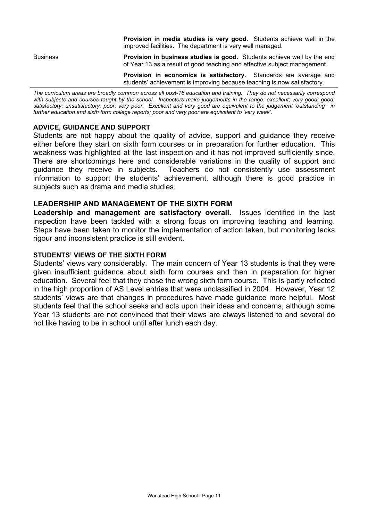|                 | <b>Provision in media studies is very good.</b> Students achieve well in the<br>improved facilities. The department is very well managed.                   |
|-----------------|-------------------------------------------------------------------------------------------------------------------------------------------------------------|
| <b>Business</b> | <b>Provision in business studies is good.</b> Students achieve well by the end<br>of Year 13 as a result of good teaching and effective subject management. |
|                 | <b>Provision in economics is satisfactory.</b> Standards are average and<br>students' achievement is improving because teaching is now satisfactory.        |
|                 |                                                                                                                                                             |

*The curriculum areas are broadly common across all post-16 education and training. They do not necessarily correspond*  with subjects and courses taught by the school. Inspectors make judgements in the range: excellent; very good; good; *satisfactory; unsatisfactory; poor; very poor. Excellent and very good are equivalent to the judgement 'outstanding' in further education and sixth form college reports; poor and very poor are equivalent to 'very weak'.*

#### **ADVICE, GUIDANCE AND SUPPORT**

Students are not happy about the quality of advice, support and guidance they receive either before they start on sixth form courses or in preparation for further education. This weakness was highlighted at the last inspection and it has not improved sufficiently since. There are shortcomings here and considerable variations in the quality of support and guidance they receive in subjects. Teachers do not consistently use assessment information to support the students' achievement, although there is good practice in subjects such as drama and media studies.

#### **LEADERSHIP AND MANAGEMENT OF THE SIXTH FORM**

**Leadership and management are satisfactory overall.** Issues identified in the last inspection have been tackled with a strong focus on improving teaching and learning. Steps have been taken to monitor the implementation of action taken, but monitoring lacks rigour and inconsistent practice is still evident.

#### **STUDENTS' VIEWS OF THE SIXTH FORM**

Students' views vary considerably. The main concern of Year 13 students is that they were given insufficient guidance about sixth form courses and then in preparation for higher education. Several feel that they chose the wrong sixth form course. This is partly reflected in the high proportion of AS Level entries that were unclassified in 2004. However, Year 12 students' views are that changes in procedures have made guidance more helpful. Most students feel that the school seeks and acts upon their ideas and concerns, although some Year 13 students are not convinced that their views are always listened to and several do not like having to be in school until after lunch each day.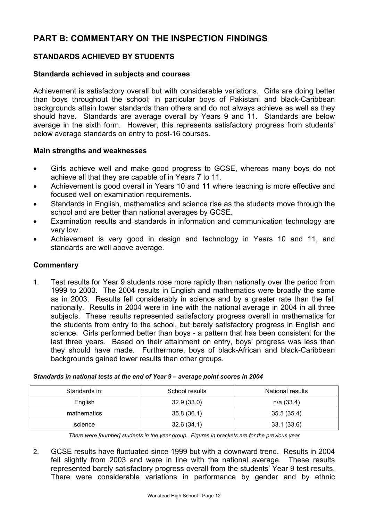# **PART B: COMMENTARY ON THE INSPECTION FINDINGS**

# **STANDARDS ACHIEVED BY STUDENTS**

#### **Standards achieved in subjects and courses**

Achievement is satisfactory overall but with considerable variations. Girls are doing better than boys throughout the school; in particular boys of Pakistani and black-Caribbean backgrounds attain lower standards than others and do not always achieve as well as they should have. Standards are average overall by Years 9 and 11. Standards are below average in the sixth form. However, this represents satisfactory progress from students' below average standards on entry to post-16 courses.

#### **Main strengths and weaknesses**

- Girls achieve well and make good progress to GCSE, whereas many boys do not achieve all that they are capable of in Years 7 to 11.
- Achievement is good overall in Years 10 and 11 where teaching is more effective and focused well on examination requirements.
- Standards in English, mathematics and science rise as the students move through the school and are better than national averages by GCSE.
- Examination results and standards in information and communication technology are very low.
- Achievement is very good in design and technology in Years 10 and 11, and standards are well above average.

#### **Commentary**

1. Test results for Year 9 students rose more rapidly than nationally over the period from 1999 to 2003. The 2004 results in English and mathematics were broadly the same as in 2003. Results fell considerably in science and by a greater rate than the fall nationally. Results in 2004 were in line with the national average in 2004 in all three subjects. These results represented satisfactory progress overall in mathematics for the students from entry to the school, but barely satisfactory progress in English and science. Girls performed better than boys - a pattern that has been consistent for the last three years. Based on their attainment on entry, boys' progress was less than they should have made. Furthermore, boys of black-African and black-Caribbean backgrounds gained lower results than other groups.

| Standards in: | School results | National results |
|---------------|----------------|------------------|
| English       | 32.9(33.0)     | n/a(33.4)        |
| mathematics   | 35.8(36.1)     | 35.5(35.4)       |
| science       | 32.6(34.1)     | 33.1(33.6)       |

#### *Standards in national tests at the end of Year 9 – average point scores in 2004*

*There were [number] students in the year group. Figures in brackets are for the previous year* 

2. GCSE results have fluctuated since 1999 but with a downward trend. Results in 2004 fell slightly from 2003 and were in line with the national average. These results represented barely satisfactory progress overall from the students' Year 9 test results. There were considerable variations in performance by gender and by ethnic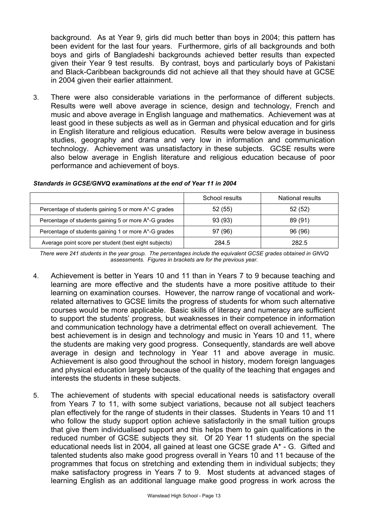background. As at Year 9, girls did much better than boys in 2004; this pattern has been evident for the last four years. Furthermore, girls of all backgrounds and both boys and girls of Bangladeshi backgrounds achieved better results than expected given their Year 9 test results. By contrast, boys and particularly boys of Pakistani and Black-Caribbean backgrounds did not achieve all that they should have at GCSE in 2004 given their earlier attainment.

3. There were also considerable variations in the performance of different subjects. Results were well above average in science, design and technology, French and music and above average in English language and mathematics. Achievement was at least good in these subjects as well as in German and physical education and for girls in English literature and religious education. Results were below average in business studies, geography and drama and very low in information and communication technology. Achievement was unsatisfactory in these subjects. GCSE results were also below average in English literature and religious education because of poor performance and achievement of boys.

|                                                       | School results | National results |
|-------------------------------------------------------|----------------|------------------|
| Percentage of students gaining 5 or more A*-C grades  | 52(55)         | 52(52)           |
| Percentage of students gaining 5 or more A*-G grades  | 93 (93)        | 89 (91)          |
| Percentage of students gaining 1 or more A*-G grades  | 97 (96)        | 96 (96)          |
| Average point score per student (best eight subjects) | 284.5          | 282.5            |

#### *Standards in GCSE/GNVQ examinations at the end of Year 11 in 2004*

*There were 241 students in the year group. The percentages include the equivalent GCSE grades obtained in GNVQ assessments. Figures in brackets are for the previous year.* 

- 4. Achievement is better in Years 10 and 11 than in Years 7 to 9 because teaching and learning are more effective and the students have a more positive attitude to their learning on examination courses. However, the narrow range of vocational and workrelated alternatives to GCSE limits the progress of students for whom such alternative courses would be more applicable. Basic skills of literacy and numeracy are sufficient to support the students' progress, but weaknesses in their competence in information and communication technology have a detrimental effect on overall achievement. The best achievement is in design and technology and music in Years 10 and 11, where the students are making very good progress. Consequently, standards are well above average in design and technology in Year 11 and above average in music. Achievement is also good throughout the school in history, modern foreign languages and physical education largely because of the quality of the teaching that engages and interests the students in these subjects.
- 5. The achievement of students with special educational needs is satisfactory overall from Years 7 to 11, with some subject variations, because not all subject teachers plan effectively for the range of students in their classes. Students in Years 10 and 11 who follow the study support option achieve satisfactorily in the small tuition groups that give them individualised support and this helps them to gain qualifications in the reduced number of GCSE subjects they sit. Of 20 Year 11 students on the special educational needs list in 2004, all gained at least one GCSE grade A\* - G. Gifted and talented students also make good progress overall in Years 10 and 11 because of the programmes that focus on stretching and extending them in individual subjects; they make satisfactory progress in Years 7 to 9. Most students at advanced stages of learning English as an additional language make good progress in work across the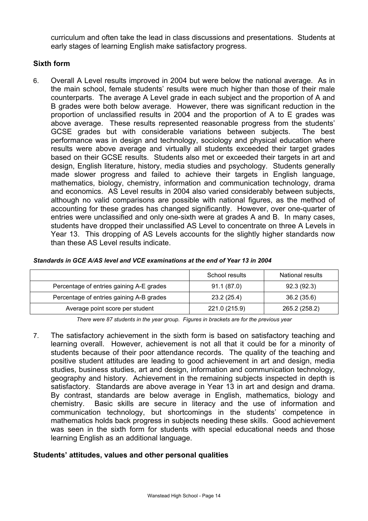curriculum and often take the lead in class discussions and presentations. Students at early stages of learning English make satisfactory progress.

#### **Sixth form**

6. Overall A Level results improved in 2004 but were below the national average. As in the main school, female students' results were much higher than those of their male counterparts. The average A Level grade in each subject and the proportion of A and B grades were both below average. However, there was significant reduction in the proportion of unclassified results in 2004 and the proportion of A to E grades was above average. These results represented reasonable progress from the students' GCSE grades but with considerable variations between subjects. The best performance was in design and technology, sociology and physical education where results were above average and virtually all students exceeded their target grades based on their GCSE results. Students also met or exceeded their targets in art and design, English literature, history, media studies and psychology. Students generally made slower progress and failed to achieve their targets in English language, mathematics, biology, chemistry, information and communication technology, drama and economics. AS Level results in 2004 also varied considerably between subjects, although no valid comparisons are possible with national figures, as the method of accounting for these grades has changed significantly. However, over one-quarter of entries were unclassified and only one-sixth were at grades A and B. In many cases, students have dropped their unclassified AS Level to concentrate on three A Levels in Year 13. This dropping of AS Levels accounts for the slightly higher standards now than these AS Level results indicate.

|                                          | School results | National results |
|------------------------------------------|----------------|------------------|
| Percentage of entries gaining A-E grades | 91.1 (87.0)    | 92.3(92.3)       |
| Percentage of entries gaining A-B grades | 23.2 (25.4)    | 36.2(35.6)       |
| Average point score per student          | 221.0 (215.9)  | 265.2 (258.2)    |

*Standards in GCE A/AS level and VCE examinations at the end of Year 13 in 2004* 

*There were 87 students in the year group. Figures in brackets are for the previous year* 

7. The satisfactory achievement in the sixth form is based on satisfactory teaching and learning overall. However, achievement is not all that it could be for a minority of students because of their poor attendance records. The quality of the teaching and positive student attitudes are leading to good achievement in art and design, media studies, business studies, art and design, information and communication technology, geography and history. Achievement in the remaining subjects inspected in depth is satisfactory. Standards are above average in Year 13 in art and design and drama. By contrast, standards are below average in English, mathematics, biology and chemistry. Basic skills are secure in literacy and the use of information and communication technology, but shortcomings in the students' competence in mathematics holds back progress in subjects needing these skills. Good achievement was seen in the sixth form for students with special educational needs and those learning English as an additional language.

#### **Students' attitudes, values and other personal qualities**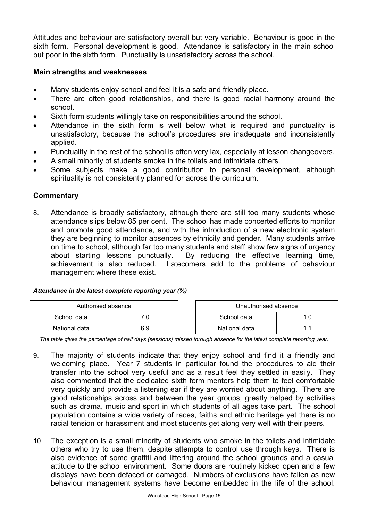Attitudes and behaviour are satisfactory overall but very variable. Behaviour is good in the sixth form. Personal development is good. Attendance is satisfactory in the main school but poor in the sixth form. Punctuality is unsatisfactory across the school.

## **Main strengths and weaknesses**

- Many students enjoy school and feel it is a safe and friendly place.
- There are often good relationships, and there is good racial harmony around the school.
- Sixth form students willingly take on responsibilities around the school.
- Attendance in the sixth form is well below what is required and punctuality is unsatisfactory, because the school's procedures are inadequate and inconsistently applied.
- Punctuality in the rest of the school is often very lax, especially at lesson changeovers.
- A small minority of students smoke in the toilets and intimidate others.
- Some subjects make a good contribution to personal development, although spirituality is not consistently planned for across the curriculum.

#### **Commentary**

8. Attendance is broadly satisfactory, although there are still too many students whose attendance slips below 85 per cent. The school has made concerted efforts to monitor and promote good attendance, and with the introduction of a new electronic system they are beginning to monitor absences by ethnicity and gender. Many students arrive on time to school, although far too many students and staff show few signs of urgency about starting lessons punctually. By reducing the effective learning time, achievement is also reduced. Latecomers add to the problems of behaviour management where these exist.

#### *Attendance in the latest complete reporting year (%)*

| Authorised absence |     |  | Unauthorised absence |  |
|--------------------|-----|--|----------------------|--|
| School data        |     |  | School data          |  |
| National data      | 6.9 |  | National data        |  |

*The table gives the percentage of half days (sessions) missed through absence for the latest complete reporting year.*

- 9. The majority of students indicate that they enjoy school and find it a friendly and welcoming place. Year 7 students in particular found the procedures to aid their transfer into the school very useful and as a result feel they settled in easily. They also commented that the dedicated sixth form mentors help them to feel comfortable very quickly and provide a listening ear if they are worried about anything. There are good relationships across and between the year groups, greatly helped by activities such as drama, music and sport in which students of all ages take part. The school population contains a wide variety of races, faiths and ethnic heritage yet there is no racial tension or harassment and most students get along very well with their peers.
- 10. The exception is a small minority of students who smoke in the toilets and intimidate others who try to use them, despite attempts to control use through keys. There is also evidence of some graffiti and littering around the school grounds and a casual attitude to the school environment. Some doors are routinely kicked open and a few displays have been defaced or damaged. Numbers of exclusions have fallen as new behaviour management systems have become embedded in the life of the school.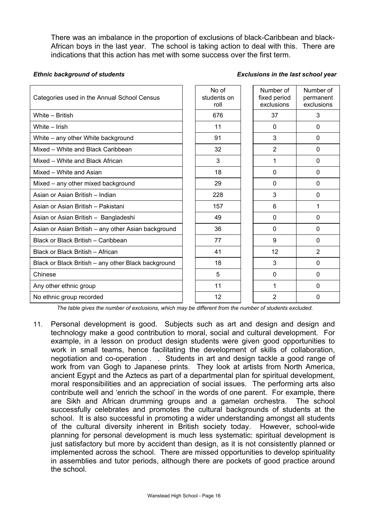There was an imbalance in the proportion of exclusions of black-Caribbean and black-African boys in the last year. The school is taking action to deal with this. There are indications that this action has met with some success over the first term.

*Ethnic background of students Exclusions in the last school year*

| Categories used in the Annual School Census         | No of<br>students on<br>roll | Number of<br>fixed period<br>exclusions | Number of<br>permanent<br>exclusions |
|-----------------------------------------------------|------------------------------|-----------------------------------------|--------------------------------------|
| White - British                                     | 676                          | 37                                      | 3                                    |
| White - Irish                                       | 11                           | 0                                       | $\mathbf{0}$                         |
| White – any other White background                  | 91                           | 3                                       | $\mathbf{0}$                         |
| Mixed - White and Black Caribbean                   | 32                           | $\overline{2}$                          | $\mathbf{0}$                         |
| Mixed - White and Black African                     | 3                            | 1                                       | $\mathbf{0}$                         |
| Mixed - White and Asian                             | 18                           | 0                                       | $\mathbf{0}$                         |
| Mixed - any other mixed background                  | 29                           | 0                                       | 0                                    |
| Asian or Asian British - Indian                     | 228                          | 3                                       | $\Omega$                             |
| Asian or Asian British - Pakistani                  | 157                          | 6                                       | 1                                    |
| Asian or Asian British - Bangladeshi                | 49                           | 0                                       | $\Omega$                             |
| Asian or Asian British - any other Asian background | 36                           | 0                                       | $\Omega$                             |
| Black or Black British - Caribbean                  | 77                           | 9                                       | $\Omega$                             |
| Black or Black British - African                    | 41                           | 12                                      | $\overline{2}$                       |
| Black or Black British - any other Black background | 18                           | 3                                       | 0                                    |
| Chinese                                             | 5                            | 0                                       | $\Omega$                             |
| Any other ethnic group                              | 11                           | 1                                       | $\Omega$                             |
| No ethnic group recorded                            | 12                           | $\overline{2}$                          | $\mathbf{0}$                         |

*The table gives the number of exclusions, which may be different from the number of students excluded.*

11. Personal development is good. Subjects such as art and design and design and technology make a good contribution to moral, social and cultural development. For example, in a lesson on product design students were given good opportunities to work in small teams, hence facilitating the development of skills of collaboration, negotiation and co-operation . . Students in art and design tackle a good range of work from van Gogh to Japanese prints. They look at artists from North America, ancient Egypt and the Aztecs as part of a departmental plan for spiritual development, moral responsibilities and an appreciation of social issues. The performing arts also contribute well and 'enrich the school' in the words of one parent. For example, there are Sikh and African drumming groups and a gamelan orchestra. The school successfully celebrates and promotes the cultural backgrounds of students at the school. It is also successful in promoting a wider understanding amongst all students of the cultural diversity inherent in British society today. However, school-wide planning for personal development is much less systematic: spiritual development is just satisfactory but more by accident than design, as it is not consistently planned or implemented across the school. There are missed opportunities to develop spirituality in assemblies and tutor periods, although there are pockets of good practice around the school.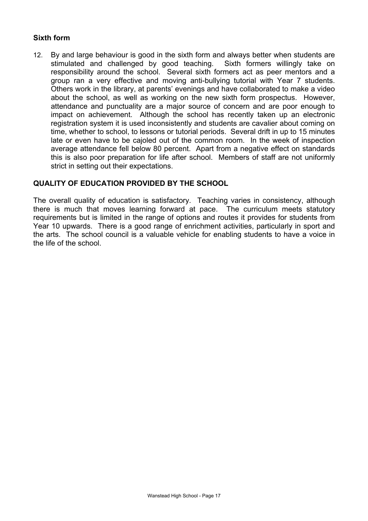# **Sixth form**

12. By and large behaviour is good in the sixth form and always better when students are stimulated and challenged by good teaching. Sixth formers willingly take on responsibility around the school. Several sixth formers act as peer mentors and a group ran a very effective and moving anti-bullying tutorial with Year 7 students. Others work in the library, at parents' evenings and have collaborated to make a video about the school, as well as working on the new sixth form prospectus. However, attendance and punctuality are a major source of concern and are poor enough to impact on achievement. Although the school has recently taken up an electronic registration system it is used inconsistently and students are cavalier about coming on time, whether to school, to lessons or tutorial periods. Several drift in up to 15 minutes late or even have to be cajoled out of the common room. In the week of inspection average attendance fell below 80 percent. Apart from a negative effect on standards this is also poor preparation for life after school. Members of staff are not uniformly strict in setting out their expectations.

## **QUALITY OF EDUCATION PROVIDED BY THE SCHOOL**

The overall quality of education is satisfactory. Teaching varies in consistency, although there is much that moves learning forward at pace. The curriculum meets statutory requirements but is limited in the range of options and routes it provides for students from Year 10 upwards. There is a good range of enrichment activities, particularly in sport and the arts. The school council is a valuable vehicle for enabling students to have a voice in the life of the school.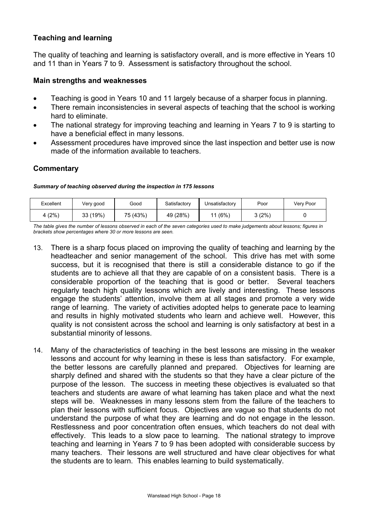## **Teaching and learning**

The quality of teaching and learning is satisfactory overall, and is more effective in Years 10 and 11 than in Years 7 to 9. Assessment is satisfactory throughout the school.

#### **Main strengths and weaknesses**

- Teaching is good in Years 10 and 11 largely because of a sharper focus in planning.
- There remain inconsistencies in several aspects of teaching that the school is working hard to eliminate.
- The national strategy for improving teaching and learning in Years 7 to 9 is starting to have a beneficial effect in many lessons.
- Assessment procedures have improved since the last inspection and better use is now made of the information available to teachers.

## **Commentary**

#### *Summary of teaching observed during the inspection in 175 lessons*

| Excellent | Very good | Good     | Satisfactory | Unsatisfactory | Poor   | Very Poor |
|-----------|-----------|----------|--------------|----------------|--------|-----------|
| (2%)      | 33 (19%)  | 75 (43%) | 49 (28%)     | (6%)           | 3 (2%) |           |

*The table gives the number of lessons observed in each of the seven categories used to make judgements about lessons; figures in brackets show percentages where 30 or more lessons are seen.* 

- 13. There is a sharp focus placed on improving the quality of teaching and learning by the headteacher and senior management of the school. This drive has met with some success, but it is recognised that there is still a considerable distance to go if the students are to achieve all that they are capable of on a consistent basis. There is a considerable proportion of the teaching that is good or better. Several teachers regularly teach high quality lessons which are lively and interesting. These lessons engage the students' attention, involve them at all stages and promote a very wide range of learning. The variety of activities adopted helps to generate pace to learning and results in highly motivated students who learn and achieve well. However, this quality is not consistent across the school and learning is only satisfactory at best in a substantial minority of lessons.
- 14. Many of the characteristics of teaching in the best lessons are missing in the weaker lessons and account for why learning in these is less than satisfactory. For example, the better lessons are carefully planned and prepared. Objectives for learning are sharply defined and shared with the students so that they have a clear picture of the purpose of the lesson. The success in meeting these objectives is evaluated so that teachers and students are aware of what learning has taken place and what the next steps will be. Weaknesses in many lessons stem from the failure of the teachers to plan their lessons with sufficient focus. Objectives are vague so that students do not understand the purpose of what they are learning and do not engage in the lesson. Restlessness and poor concentration often ensues, which teachers do not deal with effectively. This leads to a slow pace to learning. The national strategy to improve teaching and learning in Years 7 to 9 has been adopted with considerable success by many teachers. Their lessons are well structured and have clear objectives for what the students are to learn. This enables learning to build systematically.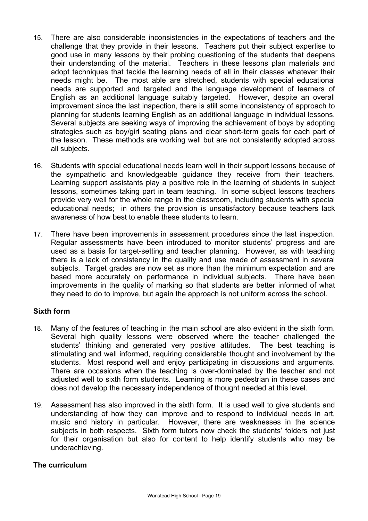- 15. There are also considerable inconsistencies in the expectations of teachers and the challenge that they provide in their lessons. Teachers put their subject expertise to good use in many lessons by their probing questioning of the students that deepens their understanding of the material. Teachers in these lessons plan materials and adopt techniques that tackle the learning needs of all in their classes whatever their needs might be. The most able are stretched, students with special educational needs are supported and targeted and the language development of learners of English as an additional language suitably targeted. However, despite an overall improvement since the last inspection, there is still some inconsistency of approach to planning for students learning English as an additional language in individual lessons. Several subjects are seeking ways of improving the achievement of boys by adopting strategies such as boy/girl seating plans and clear short-term goals for each part of the lesson. These methods are working well but are not consistently adopted across all subjects.
- 16. Students with special educational needs learn well in their support lessons because of the sympathetic and knowledgeable guidance they receive from their teachers. Learning support assistants play a positive role in the learning of students in subject lessons, sometimes taking part in team teaching. In some subject lessons teachers provide very well for the whole range in the classroom, including students with special educational needs; in others the provision is unsatisfactory because teachers lack awareness of how best to enable these students to learn.
- 17. There have been improvements in assessment procedures since the last inspection. Regular assessments have been introduced to monitor students' progress and are used as a basis for target-setting and teacher planning. However, as with teaching there is a lack of consistency in the quality and use made of assessment in several subjects. Target grades are now set as more than the minimum expectation and are based more accurately on performance in individual subjects. There have been improvements in the quality of marking so that students are better informed of what they need to do to improve, but again the approach is not uniform across the school.

#### **Sixth form**

- 18. Many of the features of teaching in the main school are also evident in the sixth form. Several high quality lessons were observed where the teacher challenged the students' thinking and generated very positive attitudes. The best teaching is stimulating and well informed, requiring considerable thought and involvement by the students. Most respond well and enjoy participating in discussions and arguments. There are occasions when the teaching is over-dominated by the teacher and not adjusted well to sixth form students. Learning is more pedestrian in these cases and does not develop the necessary independence of thought needed at this level.
- 19. Assessment has also improved in the sixth form. It is used well to give students and understanding of how they can improve and to respond to individual needs in art, music and history in particular. However, there are weaknesses in the science subjects in both respects. Sixth form tutors now check the students' folders not just for their organisation but also for content to help identify students who may be underachieving.

#### **The curriculum**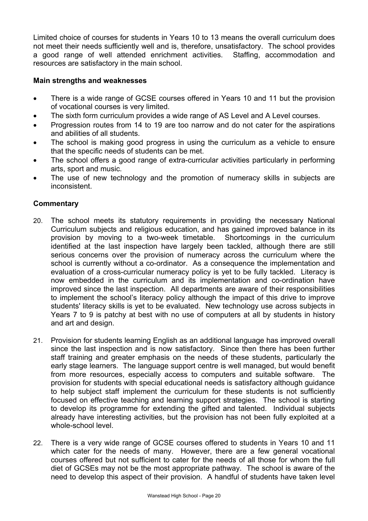Limited choice of courses for students in Years 10 to 13 means the overall curriculum does not meet their needs sufficiently well and is, therefore, unsatisfactory. The school provides a good range of well attended enrichment activities. Staffing, accommodation and resources are satisfactory in the main school.

#### **Main strengths and weaknesses**

- There is a wide range of GCSE courses offered in Years 10 and 11 but the provision of vocational courses is very limited.
- The sixth form curriculum provides a wide range of AS Level and A Level courses.
- Progression routes from 14 to 19 are too narrow and do not cater for the aspirations and abilities of all students.
- The school is making good progress in using the curriculum as a vehicle to ensure that the specific needs of students can be met.
- The school offers a good range of extra-curricular activities particularly in performing arts, sport and music.
- The use of new technology and the promotion of numeracy skills in subjects are inconsistent.

- 20. The school meets its statutory requirements in providing the necessary National Curriculum subjects and religious education, and has gained improved balance in its provision by moving to a two-week timetable. Shortcomings in the curriculum identified at the last inspection have largely been tackled, although there are still serious concerns over the provision of numeracy across the curriculum where the school is currently without a co-ordinator. As a consequence the implementation and evaluation of a cross-curricular numeracy policy is yet to be fully tackled. Literacy is now embedded in the curriculum and its implementation and co-ordination have improved since the last inspection. All departments are aware of their responsibilities to implement the school's literacy policy although the impact of this drive to improve students' literacy skills is yet to be evaluated. New technology use across subjects in Years 7 to 9 is patchy at best with no use of computers at all by students in history and art and design.
- 21. Provision for students learning English as an additional language has improved overall since the last inspection and is now satisfactory. Since then there has been further staff training and greater emphasis on the needs of these students, particularly the early stage learners. The language support centre is well managed, but would benefit from more resources, especially access to computers and suitable software. The provision for students with special educational needs is satisfactory although guidance to help subject staff implement the curriculum for these students is not sufficiently focused on effective teaching and learning support strategies. The school is starting to develop its programme for extending the gifted and talented. Individual subjects already have interesting activities, but the provision has not been fully exploited at a whole-school level.
- 22. There is a very wide range of GCSE courses offered to students in Years 10 and 11 which cater for the needs of many. However, there are a few general vocational courses offered but not sufficient to cater for the needs of all those for whom the full diet of GCSEs may not be the most appropriate pathway. The school is aware of the need to develop this aspect of their provision. A handful of students have taken level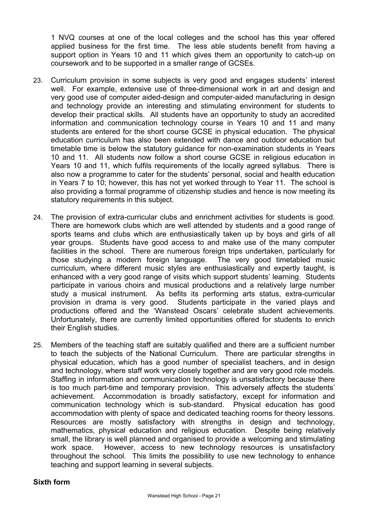1 NVQ courses at one of the local colleges and the school has this year offered applied business for the first time. The less able students benefit from having a support option in Years 10 and 11 which gives them an opportunity to catch-up on coursework and to be supported in a smaller range of GCSEs.

- 23. Curriculum provision in some subjects is very good and engages students' interest well. For example, extensive use of three-dimensional work in art and design and very good use of computer aided-design and computer-aided manufacturing in design and technology provide an interesting and stimulating environment for students to develop their practical skills. All students have an opportunity to study an accredited information and communication technology course in Years 10 and 11 and many students are entered for the short course GCSE in physical education. The physical education curriculum has also been extended with dance and outdoor education but timetable time is below the statutory guidance for non-examination students in Years 10 and 11. All students now follow a short course GCSE in religious education in Years 10 and 11, which fulfils requirements of the locally agreed syllabus. There is also now a programme to cater for the students' personal, social and health education in Years 7 to 10; however, this has not yet worked through to Year 11. The school is also providing a formal programme of citizenship studies and hence is now meeting its statutory requirements in this subject.
- 24. The provision of extra-curricular clubs and enrichment activities for students is good. There are homework clubs which are well attended by students and a good range of sports teams and clubs which are enthusiastically taken up by boys and girls of all year groups. Students have good access to and make use of the many computer facilities in the school. There are numerous foreign trips undertaken, particularly for those studying a modern foreign language. The very good timetabled music curriculum, where different music styles are enthusiastically and expertly taught, is enhanced with a very good range of visits which support students' learning. Students participate in various choirs and musical productions and a relatively large number study a musical instrument. As befits its performing arts status, extra-curricular provision in drama is very good. Students participate in the varied plays and productions offered and the 'Wanstead Oscars' celebrate student achievements. Unfortunately, there are currently limited opportunities offered for students to enrich their English studies.
- 25. Members of the teaching staff are suitably qualified and there are a sufficient number to teach the subjects of the National Curriculum. There are particular strengths in physical education, which has a good number of specialist teachers, and in design and technology, where staff work very closely together and are very good role models. Staffing in information and communication technology is unsatisfactory because there is too much part-time and temporary provision. This adversely affects the students' achievement. Accommodation is broadly satisfactory, except for information and communication technology which is sub-standard. Physical education has good accommodation with plenty of space and dedicated teaching rooms for theory lessons. Resources are mostly satisfactory with strengths in design and technology, mathematics, physical education and religious education. Despite being relatively small, the library is well planned and organised to provide a welcoming and stimulating work space. However, access to new technology resources is unsatisfactory throughout the school. This limits the possibility to use new technology to enhance teaching and support learning in several subjects.

#### **Sixth form**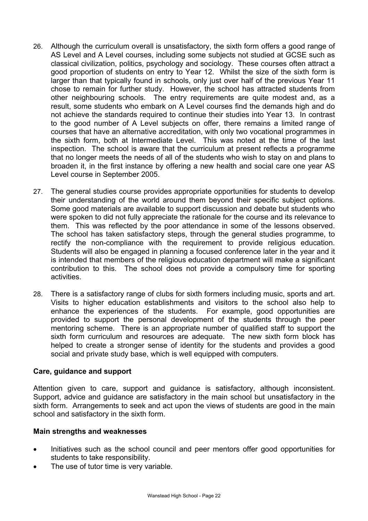- 26. Although the curriculum overall is unsatisfactory, the sixth form offers a good range of AS Level and A Level courses, including some subjects not studied at GCSE such as classical civilization, politics, psychology and sociology. These courses often attract a good proportion of students on entry to Year 12. Whilst the size of the sixth form is larger than that typically found in schools, only just over half of the previous Year 11 chose to remain for further study. However, the school has attracted students from other neighbouring schools. The entry requirements are quite modest and, as a result, some students who embark on A Level courses find the demands high and do not achieve the standards required to continue their studies into Year 13. In contrast to the good number of A Level subjects on offer, there remains a limited range of courses that have an alternative accreditation, with only two vocational programmes in the sixth form, both at Intermediate Level. This was noted at the time of the last inspection. The school is aware that the curriculum at present reflects a programme that no longer meets the needs of all of the students who wish to stay on and plans to broaden it, in the first instance by offering a new health and social care one year AS Level course in September 2005.
- 27. The general studies course provides appropriate opportunities for students to develop their understanding of the world around them beyond their specific subject options. Some good materials are available to support discussion and debate but students who were spoken to did not fully appreciate the rationale for the course and its relevance to them. This was reflected by the poor attendance in some of the lessons observed. The school has taken satisfactory steps, through the general studies programme, to rectify the non-compliance with the requirement to provide religious education. Students will also be engaged in planning a focused conference later in the year and it is intended that members of the religious education department will make a significant contribution to this. The school does not provide a compulsory time for sporting activities.
- 28. There is a satisfactory range of clubs for sixth formers including music, sports and art. Visits to higher education establishments and visitors to the school also help to enhance the experiences of the students. For example, good opportunities are provided to support the personal development of the students through the peer mentoring scheme. There is an appropriate number of qualified staff to support the sixth form curriculum and resources are adequate. The new sixth form block has helped to create a stronger sense of identity for the students and provides a good social and private study base, which is well equipped with computers.

#### **Care, guidance and support**

Attention given to care, support and guidance is satisfactory, although inconsistent. Support, advice and guidance are satisfactory in the main school but unsatisfactory in the sixth form. Arrangements to seek and act upon the views of students are good in the main school and satisfactory in the sixth form.

#### **Main strengths and weaknesses**

- Initiatives such as the school council and peer mentors offer good opportunities for students to take responsibility.
- The use of tutor time is very variable.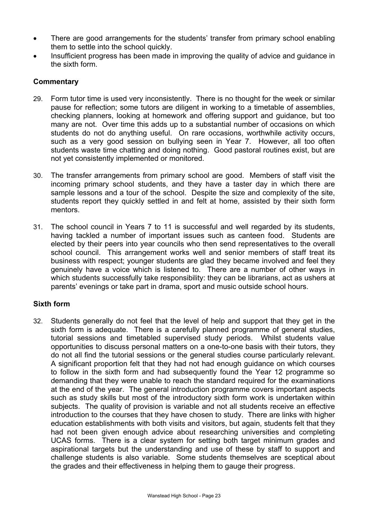- There are good arrangements for the students' transfer from primary school enabling them to settle into the school quickly.
- Insufficient progress has been made in improving the quality of advice and guidance in the sixth form.

## **Commentary**

- 29. Form tutor time is used very inconsistently. There is no thought for the week or similar pause for reflection; some tutors are diligent in working to a timetable of assemblies, checking planners, looking at homework and offering support and guidance, but too many are not. Over time this adds up to a substantial number of occasions on which students do not do anything useful. On rare occasions, worthwhile activity occurs, such as a very good session on bullying seen in Year 7. However, all too often students waste time chatting and doing nothing. Good pastoral routines exist, but are not yet consistently implemented or monitored.
- 30. The transfer arrangements from primary school are good. Members of staff visit the incoming primary school students, and they have a taster day in which there are sample lessons and a tour of the school. Despite the size and complexity of the site, students report they quickly settled in and felt at home, assisted by their sixth form mentors.
- 31. The school council in Years 7 to 11 is successful and well regarded by its students, having tackled a number of important issues such as canteen food. Students are elected by their peers into year councils who then send representatives to the overall school council. This arrangement works well and senior members of staff treat its business with respect; younger students are glad they became involved and feel they genuinely have a voice which is listened to. There are a number of other ways in which students successfully take responsibility: they can be librarians, act as ushers at parents' evenings or take part in drama, sport and music outside school hours.

#### **Sixth form**

32. Students generally do not feel that the level of help and support that they get in the sixth form is adequate. There is a carefully planned programme of general studies, tutorial sessions and timetabled supervised study periods. Whilst students value opportunities to discuss personal matters on a one-to-one basis with their tutors, they do not all find the tutorial sessions or the general studies course particularly relevant. A significant proportion felt that they had not had enough guidance on which courses to follow in the sixth form and had subsequently found the Year 12 programme so demanding that they were unable to reach the standard required for the examinations at the end of the year. The general introduction programme covers important aspects such as study skills but most of the introductory sixth form work is undertaken within subjects. The quality of provision is variable and not all students receive an effective introduction to the courses that they have chosen to study. There are links with higher education establishments with both visits and visitors, but again, students felt that they had not been given enough advice about researching universities and completing UCAS forms. There is a clear system for setting both target minimum grades and aspirational targets but the understanding and use of these by staff to support and challenge students is also variable. Some students themselves are sceptical about the grades and their effectiveness in helping them to gauge their progress.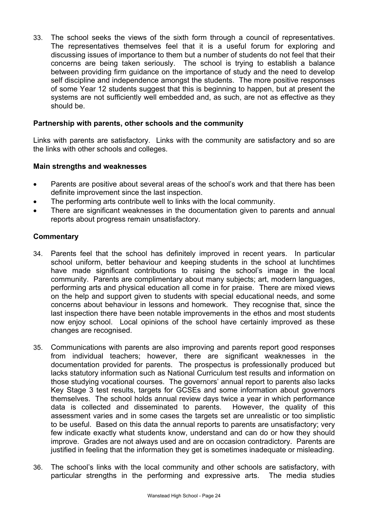33. The school seeks the views of the sixth form through a council of representatives. The representatives themselves feel that it is a useful forum for exploring and discussing issues of importance to them but a number of students do not feel that their concerns are being taken seriously. The school is trying to establish a balance between providing firm guidance on the importance of study and the need to develop self discipline and independence amongst the students. The more positive responses of some Year 12 students suggest that this is beginning to happen, but at present the systems are not sufficiently well embedded and, as such, are not as effective as they should be.

#### **Partnership with parents, other schools and the community**

Links with parents are satisfactory. Links with the community are satisfactory and so are the links with other schools and colleges.

#### **Main strengths and weaknesses**

- Parents are positive about several areas of the school's work and that there has been definite improvement since the last inspection.
- The performing arts contribute well to links with the local community.
- There are significant weaknesses in the documentation given to parents and annual reports about progress remain unsatisfactory.

- 34. Parents feel that the school has definitely improved in recent years. In particular school uniform, better behaviour and keeping students in the school at lunchtimes have made significant contributions to raising the school's image in the local community. Parents are complimentary about many subjects; art, modern languages, performing arts and physical education all come in for praise. There are mixed views on the help and support given to students with special educational needs, and some concerns about behaviour in lessons and homework. They recognise that, since the last inspection there have been notable improvements in the ethos and most students now enjoy school. Local opinions of the school have certainly improved as these changes are recognised.
- 35. Communications with parents are also improving and parents report good responses from individual teachers; however, there are significant weaknesses in the documentation provided for parents. The prospectus is professionally produced but lacks statutory information such as National Curriculum test results and information on those studying vocational courses. The governors' annual report to parents also lacks Key Stage 3 test results, targets for GCSEs and some information about governors themselves. The school holds annual review days twice a year in which performance data is collected and disseminated to parents. However, the quality of this assessment varies and in some cases the targets set are unrealistic or too simplistic to be useful. Based on this data the annual reports to parents are unsatisfactory; very few indicate exactly what students know, understand and can do or how they should improve. Grades are not always used and are on occasion contradictory. Parents are justified in feeling that the information they get is sometimes inadequate or misleading.
- 36. The school's links with the local community and other schools are satisfactory, with particular strengths in the performing and expressive arts. The media studies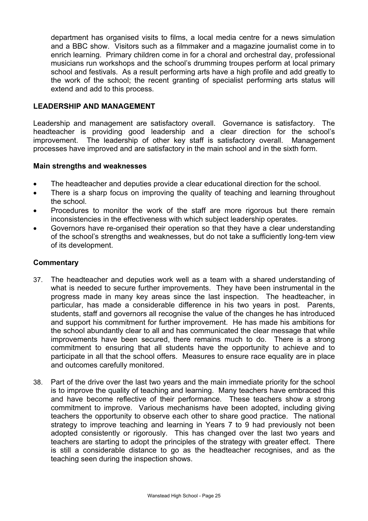department has organised visits to films, a local media centre for a news simulation and a BBC show. Visitors such as a filmmaker and a magazine journalist come in to enrich learning. Primary children come in for a choral and orchestral day, professional musicians run workshops and the school's drumming troupes perform at local primary school and festivals. As a result performing arts have a high profile and add greatly to the work of the school; the recent granting of specialist performing arts status will extend and add to this process.

#### **LEADERSHIP AND MANAGEMENT**

Leadership and management are satisfactory overall. Governance is satisfactory. The headteacher is providing good leadership and a clear direction for the school's improvement. The leadership of other key staff is satisfactory overall. Management processes have improved and are satisfactory in the main school and in the sixth form.

#### **Main strengths and weaknesses**

- The headteacher and deputies provide a clear educational direction for the school.
- There is a sharp focus on improving the quality of teaching and learning throughout the school.
- Procedures to monitor the work of the staff are more rigorous but there remain inconsistencies in the effectiveness with which subject leadership operates.
- Governors have re-organised their operation so that they have a clear understanding of the school's strengths and weaknesses, but do not take a sufficiently long-tem view of its development.

- 37. The headteacher and deputies work well as a team with a shared understanding of what is needed to secure further improvements. They have been instrumental in the progress made in many key areas since the last inspection. The headteacher, in particular, has made a considerable difference in his two years in post. Parents, students, staff and governors all recognise the value of the changes he has introduced and support his commitment for further improvement. He has made his ambitions for the school abundantly clear to all and has communicated the clear message that while improvements have been secured, there remains much to do. There is a strong commitment to ensuring that all students have the opportunity to achieve and to participate in all that the school offers. Measures to ensure race equality are in place and outcomes carefully monitored.
- 38. Part of the drive over the last two years and the main immediate priority for the school is to improve the quality of teaching and learning. Many teachers have embraced this and have become reflective of their performance. These teachers show a strong commitment to improve. Various mechanisms have been adopted, including giving teachers the opportunity to observe each other to share good practice. The national strategy to improve teaching and learning in Years 7 to 9 had previously not been adopted consistently or rigorously. This has changed over the last two years and teachers are starting to adopt the principles of the strategy with greater effect. There is still a considerable distance to go as the headteacher recognises, and as the teaching seen during the inspection shows.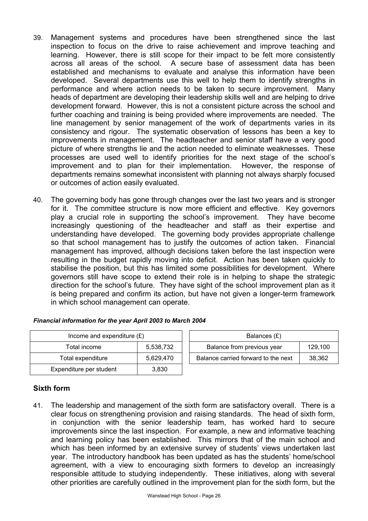- 39. Management systems and procedures have been strengthened since the last inspection to focus on the drive to raise achievement and improve teaching and learning. However, there is still scope for their impact to be felt more consistently across all areas of the school. A secure base of assessment data has been established and mechanisms to evaluate and analyse this information have been developed. Several departments use this well to help them to identify strengths in performance and where action needs to be taken to secure improvement. Many heads of department are developing their leadership skills well and are helping to drive development forward. However, this is not a consistent picture across the school and further coaching and training is being provided where improvements are needed. The line management by senior management of the work of departments varies in its consistency and rigour. The systematic observation of lessons has been a key to improvements in management. The headteacher and senior staff have a very good picture of where strengths lie and the action needed to eliminate weaknesses. These processes are used well to identify priorities for the next stage of the school's improvement and to plan for their implementation. However, the response of departments remains somewhat inconsistent with planning not always sharply focused or outcomes of action easily evaluated.
- 40. The governing body has gone through changes over the last two years and is stronger for it. The committee structure is now more efficient and effective. Key governors play a crucial role in supporting the school's improvement. They have become increasingly questioning of the headteacher and staff as their expertise and understanding have developed. The governing body provides appropriate challenge so that school management has to justify the outcomes of action taken. Financial management has improved, although decisions taken before the last inspection were resulting in the budget rapidly moving into deficit. Action has been taken quickly to stabilise the position, but this has limited some possibilities for development. Where governors still have scope to extend their role is in helping to shape the strategic direction for the school's future. They have sight of the school improvement plan as it is being prepared and confirm its action, but have not given a longer-term framework in which school management can operate.

| Income and expenditure $(E)$ | Balances $(E)$ |                                  |
|------------------------------|----------------|----------------------------------|
| Total income                 | 5,538,732      | Balance from previous year       |
| Total expenditure            | 5,629,470      | Balance carried forward to the r |
| Expenditure per student      | 3,830          |                                  |

| Income and expenditure $(E)$   |  | Balances (£)                        |         |  |  |  |
|--------------------------------|--|-------------------------------------|---------|--|--|--|
| 5,538,732<br>Total income      |  | Balance from previous year          | 129.100 |  |  |  |
| 5,629,470<br>Total expenditure |  | Balance carried forward to the next | 38.362  |  |  |  |

#### *Financial information for the year April 2003 to March 2004*

#### **Sixth form**

41. The leadership and management of the sixth form are satisfactory overall. There is a clear focus on strengthening provision and raising standards. The head of sixth form, in conjunction with the senior leadership team, has worked hard to secure improvements since the last inspection. For example, a new and informative teaching and learning policy has been established. This mirrors that of the main school and which has been informed by an extensive survey of students' views undertaken last year. The introductory handbook has been updated as has the students' home/school agreement, with a view to encouraging sixth formers to develop an increasingly responsible attitude to studying independently. These initiatives, along with several other priorities are carefully outlined in the improvement plan for the sixth form, but the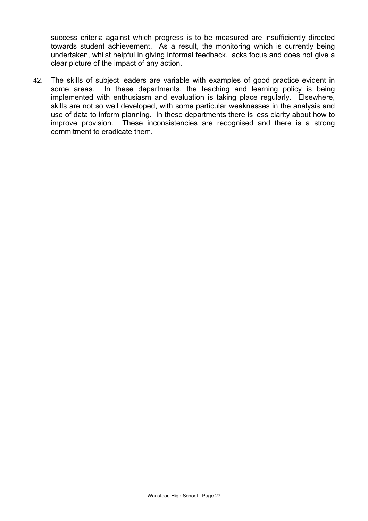success criteria against which progress is to be measured are insufficiently directed towards student achievement. As a result, the monitoring which is currently being undertaken, whilst helpful in giving informal feedback, lacks focus and does not give a clear picture of the impact of any action.

42. The skills of subject leaders are variable with examples of good practice evident in some areas. In these departments, the teaching and learning policy is being implemented with enthusiasm and evaluation is taking place regularly. Elsewhere, skills are not so well developed, with some particular weaknesses in the analysis and use of data to inform planning. In these departments there is less clarity about how to improve provision. These inconsistencies are recognised and there is a strong commitment to eradicate them.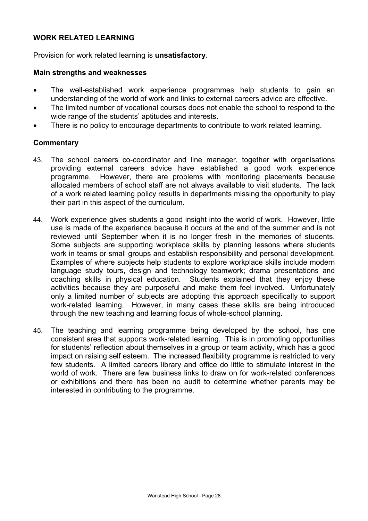#### **WORK RELATED LEARNING**

Provision for work related learning is **unsatisfactory**.

#### **Main strengths and weaknesses**

- The well-established work experience programmes help students to gain an understanding of the world of work and links to external careers advice are effective.
- The limited number of vocational courses does not enable the school to respond to the wide range of the students' aptitudes and interests.
- There is no policy to encourage departments to contribute to work related learning.

- 43. The school careers co-coordinator and line manager, together with organisations providing external careers advice have established a good work experience programme. However, there are problems with monitoring placements because allocated members of school staff are not always available to visit students. The lack of a work related learning policy results in departments missing the opportunity to play their part in this aspect of the curriculum.
- 44. Work experience gives students a good insight into the world of work. However, little use is made of the experience because it occurs at the end of the summer and is not reviewed until September when it is no longer fresh in the memories of students. Some subjects are supporting workplace skills by planning lessons where students work in teams or small groups and establish responsibility and personal development. Examples of where subjects help students to explore workplace skills include modern language study tours, design and technology teamwork; drama presentations and coaching skills in physical education. Students explained that they enjoy these activities because they are purposeful and make them feel involved. Unfortunately only a limited number of subjects are adopting this approach specifically to support work-related learning. However, in many cases these skills are being introduced through the new teaching and learning focus of whole-school planning.
- 45. The teaching and learning programme being developed by the school, has one consistent area that supports work-related learning. This is in promoting opportunities for students' reflection about themselves in a group or team activity, which has a good impact on raising self esteem. The increased flexibility programme is restricted to very few students. A limited careers library and office do little to stimulate interest in the world of work. There are few business links to draw on for work-related conferences or exhibitions and there has been no audit to determine whether parents may be interested in contributing to the programme.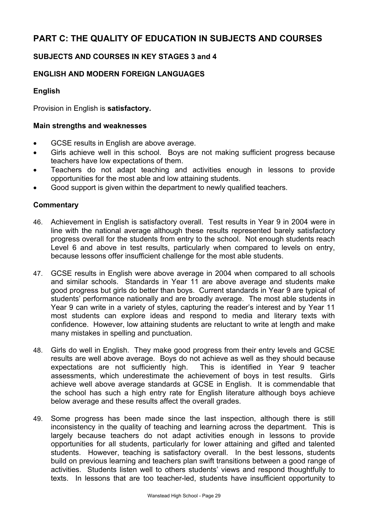# **PART C: THE QUALITY OF EDUCATION IN SUBJECTS AND COURSES**

# **SUBJECTS AND COURSES IN KEY STAGES 3 and 4**

# **ENGLISH AND MODERN FOREIGN LANGUAGES**

#### **English**

Provision in English is **satisfactory.**

#### **Main strengths and weaknesses**

- GCSE results in English are above average.
- Girls achieve well in this school. Boys are not making sufficient progress because teachers have low expectations of them.
- Teachers do not adapt teaching and activities enough in lessons to provide opportunities for the most able and low attaining students.
- Good support is given within the department to newly qualified teachers.

- 46. Achievement in English is satisfactory overall. Test results in Year 9 in 2004 were in line with the national average although these results represented barely satisfactory progress overall for the students from entry to the school. Not enough students reach Level 6 and above in test results, particularly when compared to levels on entry, because lessons offer insufficient challenge for the most able students.
- 47. GCSE results in English were above average in 2004 when compared to all schools and similar schools. Standards in Year 11 are above average and students make good progress but girls do better than boys. Current standards in Year 9 are typical of students' performance nationally and are broadly average. The most able students in Year 9 can write in a variety of styles, capturing the reader's interest and by Year 11 most students can explore ideas and respond to media and literary texts with confidence. However, low attaining students are reluctant to write at length and make many mistakes in spelling and punctuation.
- 48. Girls do well in English. They make good progress from their entry levels and GCSE results are well above average. Boys do not achieve as well as they should because expectations are not sufficiently high. This is identified in Year 9 teacher assessments, which underestimate the achievement of boys in test results. Girls achieve well above average standards at GCSE in English. It is commendable that the school has such a high entry rate for English literature although boys achieve below average and these results affect the overall grades.
- 49. Some progress has been made since the last inspection, although there is still inconsistency in the quality of teaching and learning across the department. This is largely because teachers do not adapt activities enough in lessons to provide opportunities for all students, particularly for lower attaining and gifted and talented students. However, teaching is satisfactory overall. In the best lessons, students build on previous learning and teachers plan swift transitions between a good range of activities. Students listen well to others students' views and respond thoughtfully to texts. In lessons that are too teacher-led, students have insufficient opportunity to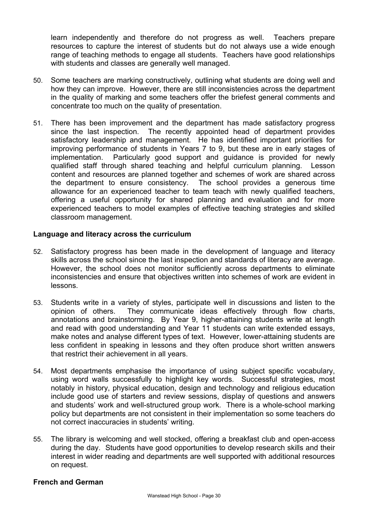learn independently and therefore do not progress as well. Teachers prepare resources to capture the interest of students but do not always use a wide enough range of teaching methods to engage all students. Teachers have good relationships with students and classes are generally well managed.

- 50. Some teachers are marking constructively, outlining what students are doing well and how they can improve. However, there are still inconsistencies across the department in the quality of marking and some teachers offer the briefest general comments and concentrate too much on the quality of presentation.
- 51. There has been improvement and the department has made satisfactory progress since the last inspection. The recently appointed head of department provides satisfactory leadership and management. He has identified important priorities for improving performance of students in Years 7 to 9, but these are in early stages of implementation. Particularly good support and guidance is provided for newly qualified staff through shared teaching and helpful curriculum planning. Lesson content and resources are planned together and schemes of work are shared across the department to ensure consistency. The school provides a generous time allowance for an experienced teacher to team teach with newly qualified teachers, offering a useful opportunity for shared planning and evaluation and for more experienced teachers to model examples of effective teaching strategies and skilled classroom management.

#### **Language and literacy across the curriculum**

- 52. Satisfactory progress has been made in the development of language and literacy skills across the school since the last inspection and standards of literacy are average. However, the school does not monitor sufficiently across departments to eliminate inconsistencies and ensure that objectives written into schemes of work are evident in lessons.
- 53. Students write in a variety of styles, participate well in discussions and listen to the opinion of others. They communicate ideas effectively through flow charts, annotations and brainstorming. By Year 9, higher-attaining students write at length and read with good understanding and Year 11 students can write extended essays, make notes and analyse different types of text. However, lower-attaining students are less confident in speaking in lessons and they often produce short written answers that restrict their achievement in all years.
- 54. Most departments emphasise the importance of using subject specific vocabulary, using word walls successfully to highlight key words. Successful strategies, most notably in history, physical education, design and technology and religious education include good use of starters and review sessions, display of questions and answers and students' work and well-structured group work. There is a whole-school marking policy but departments are not consistent in their implementation so some teachers do not correct inaccuracies in students' writing.
- 55. The library is welcoming and well stocked, offering a breakfast club and open-access during the day. Students have good opportunities to develop research skills and their interest in wider reading and departments are well supported with additional resources on request.

#### **French and German**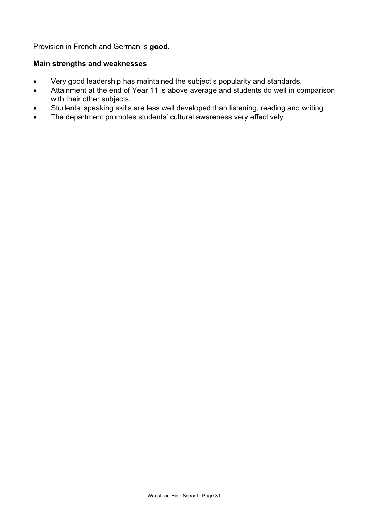Provision in French and German is **good**.

#### **Main strengths and weaknesses**

- Very good leadership has maintained the subject's popularity and standards.
- Attainment at the end of Year 11 is above average and students do well in comparison with their other subjects.
- Students' speaking skills are less well developed than listening, reading and writing.
- The department promotes students' cultural awareness very effectively.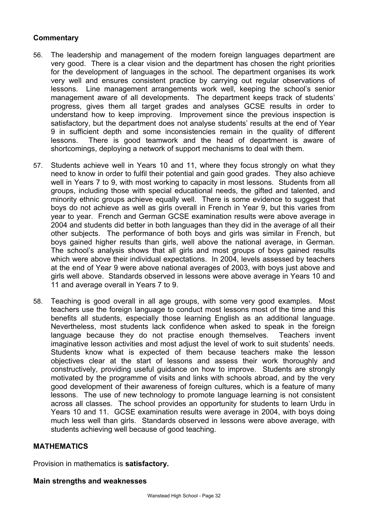## **Commentary**

- 56. The leadership and management of the modern foreign languages department are very good. There is a clear vision and the department has chosen the right priorities for the development of languages in the school. The department organises its work very well and ensures consistent practice by carrying out regular observations of lessons. Line management arrangements work well, keeping the school's senior management aware of all developments. The department keeps track of students' progress, gives them all target grades and analyses GCSE results in order to understand how to keep improving. Improvement since the previous inspection is satisfactory, but the department does not analyse students' results at the end of Year 9 in sufficient depth and some inconsistencies remain in the quality of different lessons. There is good teamwork and the head of department is aware of shortcomings, deploying a network of support mechanisms to deal with them.
- 57. Students achieve well in Years 10 and 11, where they focus strongly on what they need to know in order to fulfil their potential and gain good grades. They also achieve well in Years 7 to 9, with most working to capacity in most lessons. Students from all groups, including those with special educational needs, the gifted and talented, and minority ethnic groups achieve equally well. There is some evidence to suggest that boys do not achieve as well as girls overall in French in Year 9, but this varies from year to year. French and German GCSE examination results were above average in 2004 and students did better in both languages than they did in the average of all their other subjects. The performance of both boys and girls was similar in French, but boys gained higher results than girls, well above the national average, in German. The school's analysis shows that all girls and most groups of boys gained results which were above their individual expectations. In 2004, levels assessed by teachers at the end of Year 9 were above national averages of 2003, with boys just above and girls well above. Standards observed in lessons were above average in Years 10 and 11 and average overall in Years 7 to 9.
- 58. Teaching is good overall in all age groups, with some very good examples. Most teachers use the foreign language to conduct most lessons most of the time and this benefits all students, especially those learning English as an additional language. Nevertheless, most students lack confidence when asked to speak in the foreign language because they do not practise enough themselves. Teachers invent imaginative lesson activities and most adjust the level of work to suit students' needs. Students know what is expected of them because teachers make the lesson objectives clear at the start of lessons and assess their work thoroughly and constructively, providing useful guidance on how to improve. Students are strongly motivated by the programme of visits and links with schools abroad, and by the very good development of their awareness of foreign cultures, which is a feature of many lessons. The use of new technology to promote language learning is not consistent across all classes. The school provides an opportunity for students to learn Urdu in Years 10 and 11. GCSE examination results were average in 2004, with boys doing much less well than girls. Standards observed in lessons were above average, with students achieving well because of good teaching.

#### **MATHEMATICS**

Provision in mathematics is **satisfactory.**

#### **Main strengths and weaknesses**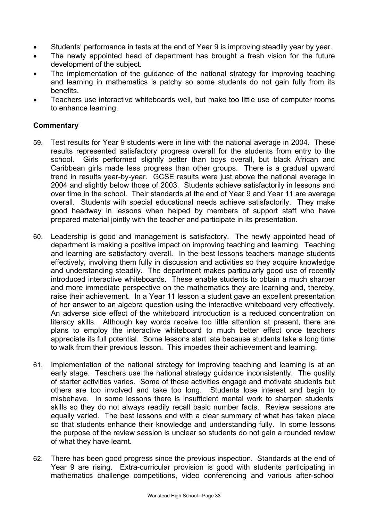- Students' performance in tests at the end of Year 9 is improving steadily year by year.
- The newly appointed head of department has brought a fresh vision for the future development of the subject.
- The implementation of the quidance of the national strategy for improving teaching and learning in mathematics is patchy so some students do not gain fully from its benefits.
- Teachers use interactive whiteboards well, but make too little use of computer rooms to enhance learning.

- 59. Test results for Year 9 students were in line with the national average in 2004. These results represented satisfactory progress overall for the students from entry to the school. Girls performed slightly better than boys overall, but black African and Caribbean girls made less progress than other groups. There is a gradual upward trend in results year-by-year. GCSE results were just above the national average in 2004 and slightly below those of 2003. Students achieve satisfactorily in lessons and over time in the school. Their standards at the end of Year 9 and Year 11 are average overall. Students with special educational needs achieve satisfactorily. They make good headway in lessons when helped by members of support staff who have prepared material jointly with the teacher and participate in its presentation.
- 60. Leadership is good and management is satisfactory. The newly appointed head of department is making a positive impact on improving teaching and learning. Teaching and learning are satisfactory overall. In the best lessons teachers manage students effectively, involving them fully in discussion and activities so they acquire knowledge and understanding steadily. The department makes particularly good use of recently introduced interactive whiteboards. These enable students to obtain a much sharper and more immediate perspective on the mathematics they are learning and, thereby, raise their achievement. In a Year 11 lesson a student gave an excellent presentation of her answer to an algebra question using the interactive whiteboard very effectively. An adverse side effect of the whiteboard introduction is a reduced concentration on literacy skills. Although key words receive too little attention at present, there are plans to employ the interactive whiteboard to much better effect once teachers appreciate its full potential. Some lessons start late because students take a long time to walk from their previous lesson. This impedes their achievement and learning.
- 61. Implementation of the national strategy for improving teaching and learning is at an early stage. Teachers use the national strategy guidance inconsistently. The quality of starter activities varies. Some of these activities engage and motivate students but others are too involved and take too long. Students lose interest and begin to misbehave. In some lessons there is insufficient mental work to sharpen students' skills so they do not always readily recall basic number facts. Review sessions are equally varied. The best lessons end with a clear summary of what has taken place so that students enhance their knowledge and understanding fully. In some lessons the purpose of the review session is unclear so students do not gain a rounded review of what they have learnt.
- 62. There has been good progress since the previous inspection. Standards at the end of Year 9 are rising. Extra-curricular provision is good with students participating in mathematics challenge competitions, video conferencing and various after-school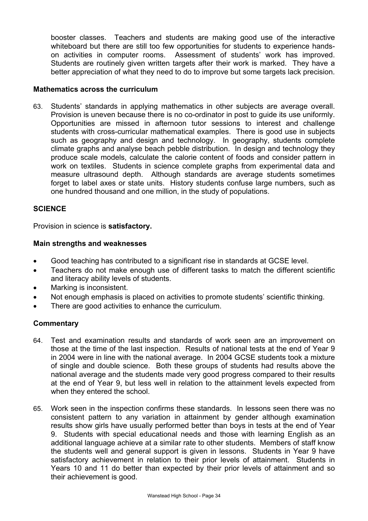booster classes. Teachers and students are making good use of the interactive whiteboard but there are still too few opportunities for students to experience handson activities in computer rooms. Assessment of students' work has improved. Students are routinely given written targets after their work is marked. They have a better appreciation of what they need to do to improve but some targets lack precision.

#### **Mathematics across the curriculum**

63. Students' standards in applying mathematics in other subjects are average overall. Provision is uneven because there is no co-ordinator in post to guide its use uniformly. Opportunities are missed in afternoon tutor sessions to interest and challenge students with cross-curricular mathematical examples. There is good use in subjects such as geography and design and technology. In geography, students complete climate graphs and analyse beach pebble distribution. In design and technology they produce scale models, calculate the calorie content of foods and consider pattern in work on textiles. Students in science complete graphs from experimental data and measure ultrasound depth. Although standards are average students sometimes forget to label axes or state units. History students confuse large numbers, such as one hundred thousand and one million, in the study of populations.

#### **SCIENCE**

Provision in science is **satisfactory.**

#### **Main strengths and weaknesses**

- Good teaching has contributed to a significant rise in standards at GCSE level.
- Teachers do not make enough use of different tasks to match the different scientific and literacy ability levels of students.
- Marking is inconsistent.
- Not enough emphasis is placed on activities to promote students' scientific thinking.
- There are good activities to enhance the curriculum.

- 64. Test and examination results and standards of work seen are an improvement on those at the time of the last inspection. Results of national tests at the end of Year 9 in 2004 were in line with the national average. In 2004 GCSE students took a mixture of single and double science. Both these groups of students had results above the national average and the students made very good progress compared to their results at the end of Year 9, but less well in relation to the attainment levels expected from when they entered the school.
- 65. Work seen in the inspection confirms these standards. In lessons seen there was no consistent pattern to any variation in attainment by gender although examination results show girls have usually performed better than boys in tests at the end of Year 9. Students with special educational needs and those with learning English as an additional language achieve at a similar rate to other students. Members of staff know the students well and general support is given in lessons. Students in Year 9 have satisfactory achievement in relation to their prior levels of attainment. Students in Years 10 and 11 do better than expected by their prior levels of attainment and so their achievement is good.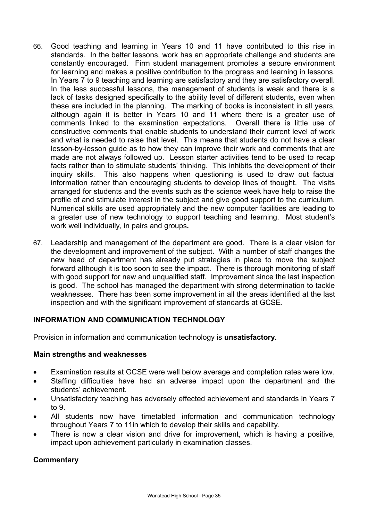- 66. Good teaching and learning in Years 10 and 11 have contributed to this rise in standards. In the better lessons, work has an appropriate challenge and students are constantly encouraged. Firm student management promotes a secure environment for learning and makes a positive contribution to the progress and learning in lessons. In Years 7 to 9 teaching and learning are satisfactory and they are satisfactory overall. In the less successful lessons, the management of students is weak and there is a lack of tasks designed specifically to the ability level of different students, even when these are included in the planning. The marking of books is inconsistent in all years, although again it is better in Years 10 and 11 where there is a greater use of comments linked to the examination expectations. Overall there is little use of constructive comments that enable students to understand their current level of work and what is needed to raise that level. This means that students do not have a clear lesson-by-lesson guide as to how they can improve their work and comments that are made are not always followed up. Lesson starter activities tend to be used to recap facts rather than to stimulate students' thinking. This inhibits the development of their inquiry skills. This also happens when questioning is used to draw out factual information rather than encouraging students to develop lines of thought. The visits arranged for students and the events such as the science week have help to raise the profile of and stimulate interest in the subject and give good support to the curriculum. Numerical skills are used appropriately and the new computer facilities are leading to a greater use of new technology to support teaching and learning. Most student's work well individually, in pairs and groups**.**
- 67. Leadership and management of the department are good. There is a clear vision for the development and improvement of the subject. With a number of staff changes the new head of department has already put strategies in place to move the subject forward although it is too soon to see the impact. There is thorough monitoring of staff with good support for new and unqualified staff. Improvement since the last inspection is good. The school has managed the department with strong determination to tackle weaknesses. There has been some improvement in all the areas identified at the last inspection and with the significant improvement of standards at GCSE.

# **INFORMATION AND COMMUNICATION TECHNOLOGY**

Provision in information and communication technology is **unsatisfactory.**

#### **Main strengths and weaknesses**

- Examination results at GCSE were well below average and completion rates were low.
- Staffing difficulties have had an adverse impact upon the department and the students' achievement.
- Unsatisfactory teaching has adversely effected achievement and standards in Years 7 to 9.
- All students now have timetabled information and communication technology throughout Years 7 to 11in which to develop their skills and capability.
- There is now a clear vision and drive for improvement, which is having a positive, impact upon achievement particularly in examination classes.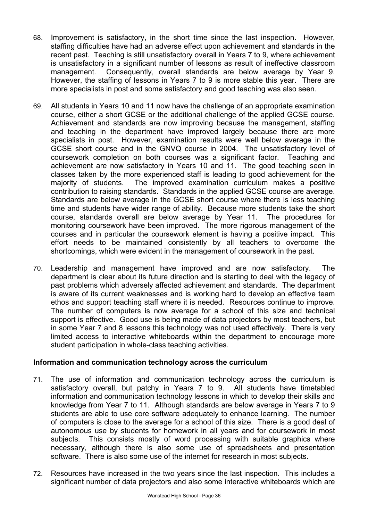- 68. Improvement is satisfactory, in the short time since the last inspection. However, staffing difficulties have had an adverse effect upon achievement and standards in the recent past. Teaching is still unsatisfactory overall in Years 7 to 9, where achievement is unsatisfactory in a significant number of lessons as result of ineffective classroom management. Consequently, overall standards are below average by Year 9. However, the staffing of lessons in Years 7 to 9 is more stable this year. There are more specialists in post and some satisfactory and good teaching was also seen.
- 69. All students in Years 10 and 11 now have the challenge of an appropriate examination course, either a short GCSE or the additional challenge of the applied GCSE course. Achievement and standards are now improving because the management, staffing and teaching in the department have improved largely because there are more specialists in post. However, examination results were well below average in the GCSE short course and in the GNVQ course in 2004. The unsatisfactory level of coursework completion on both courses was a significant factor. Teaching and achievement are now satisfactory in Years 10 and 11. The good teaching seen in classes taken by the more experienced staff is leading to good achievement for the majority of students. The improved examination curriculum makes a positive contribution to raising standards. Standards in the applied GCSE course are average. Standards are below average in the GCSE short course where there is less teaching time and students have wider range of ability. Because more students take the short course, standards overall are below average by Year 11. The procedures for monitoring coursework have been improved. The more rigorous management of the courses and in particular the coursework element is having a positive impact. This effort needs to be maintained consistently by all teachers to overcome the shortcomings, which were evident in the management of coursework in the past.
- 70. Leadership and management have improved and are now satisfactory. The department is clear about its future direction and is starting to deal with the legacy of past problems which adversely affected achievement and standards. The department is aware of its current weaknesses and is working hard to develop an effective team ethos and support teaching staff where it is needed. Resources continue to improve. The number of computers is now average for a school of this size and technical support is effective. Good use is being made of data projectors by most teachers, but in some Year 7 and 8 lessons this technology was not used effectively. There is very limited access to interactive whiteboards within the department to encourage more student participation in whole-class teaching activities.

#### **Information and communication technology across the curriculum**

- 71. The use of information and communication technology across the curriculum is satisfactory overall, but patchy in Years 7 to 9. All students have timetabled information and communication technology lessons in which to develop their skills and knowledge from Year 7 to 11. Although standards are below average in Years 7 to 9 students are able to use core software adequately to enhance learning. The number of computers is close to the average for a school of this size. There is a good deal of autonomous use by students for homework in all years and for coursework in most subjects. This consists mostly of word processing with suitable graphics where necessary, although there is also some use of spreadsheets and presentation software. There is also some use of the internet for research in most subjects.
- 72. Resources have increased in the two years since the last inspection. This includes a significant number of data projectors and also some interactive whiteboards which are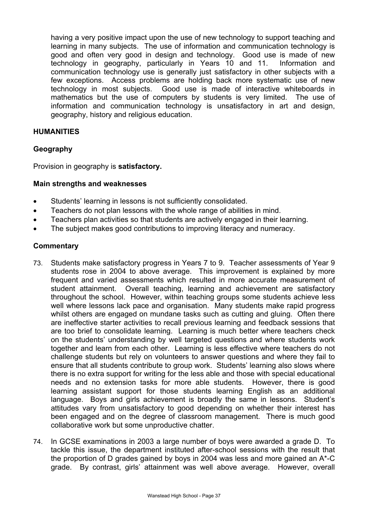having a very positive impact upon the use of new technology to support teaching and learning in many subjects. The use of information and communication technology is good and often very good in design and technology. Good use is made of new technology in geography, particularly in Years 10 and 11. Information and communication technology use is generally just satisfactory in other subjects with a few exceptions. Access problems are holding back more systematic use of new technology in most subjects. Good use is made of interactive whiteboards in mathematics but the use of computers by students is very limited. The use of information and communication technology is unsatisfactory in art and design, geography, history and religious education.

#### **HUMANITIES**

## **Geography**

Provision in geography is **satisfactory.** 

#### **Main strengths and weaknesses**

- Students' learning in lessons is not sufficiently consolidated.
- Teachers do not plan lessons with the whole range of abilities in mind.
- Teachers plan activities so that students are actively engaged in their learning.
- The subject makes good contributions to improving literacy and numeracy.

- 73. Students make satisfactory progress in Years 7 to 9. Teacher assessments of Year 9 students rose in 2004 to above average. This improvement is explained by more frequent and varied assessments which resulted in more accurate measurement of student attainment. Overall teaching, learning and achievement are satisfactory throughout the school. However, within teaching groups some students achieve less well where lessons lack pace and organisation. Many students make rapid progress whilst others are engaged on mundane tasks such as cutting and gluing. Often there are ineffective starter activities to recall previous learning and feedback sessions that are too brief to consolidate learning. Learning is much better where teachers check on the students' understanding by well targeted questions and where students work together and learn from each other. Learning is less effective where teachers do not challenge students but rely on volunteers to answer questions and where they fail to ensure that all students contribute to group work. Students' learning also slows where there is no extra support for writing for the less able and those with special educational needs and no extension tasks for more able students. However, there is good learning assistant support for those students learning English as an additional language. Boys and girls achievement is broadly the same in lessons. Student's attitudes vary from unsatisfactory to good depending on whether their interest has been engaged and on the degree of classroom management. There is much good collaborative work but some unproductive chatter.
- 74. In GCSE examinations in 2003 a large number of boys were awarded a grade D. To tackle this issue, the department instituted after-school sessions with the result that the proportion of D grades gained by boys in 2004 was less and more gained an A\*-C grade. By contrast, girls' attainment was well above average. However, overall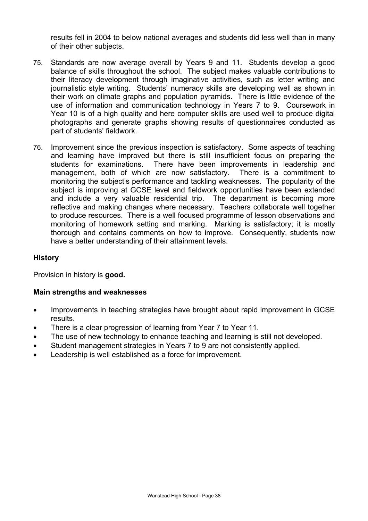results fell in 2004 to below national averages and students did less well than in many of their other subjects.

- 75. Standards are now average overall by Years 9 and 11. Students develop a good balance of skills throughout the school. The subject makes valuable contributions to their literacy development through imaginative activities, such as letter writing and journalistic style writing. Students' numeracy skills are developing well as shown in their work on climate graphs and population pyramids. There is little evidence of the use of information and communication technology in Years 7 to 9. Coursework in Year 10 is of a high quality and here computer skills are used well to produce digital photographs and generate graphs showing results of questionnaires conducted as part of students' fieldwork.
- 76. Improvement since the previous inspection is satisfactory. Some aspects of teaching and learning have improved but there is still insufficient focus on preparing the students for examinations. There have been improvements in leadership and management, both of which are now satisfactory. There is a commitment to monitoring the subject's performance and tackling weaknesses. The popularity of the subject is improving at GCSE level and fieldwork opportunities have been extended and include a very valuable residential trip.The department is becoming more reflective and making changes where necessary. Teachers collaborate well together to produce resources. There is a well focused programme of lesson observations and monitoring of homework setting and marking. Marking is satisfactory; it is mostly thorough and contains comments on how to improve. Consequently, students now have a better understanding of their attainment levels.

#### **History**

Provision in history is **good.** 

#### **Main strengths and weaknesses**

- Improvements in teaching strategies have brought about rapid improvement in GCSE results.
- There is a clear progression of learning from Year 7 to Year 11.
- The use of new technology to enhance teaching and learning is still not developed.
- Student management strategies in Years 7 to 9 are not consistently applied.
- Leadership is well established as a force for improvement.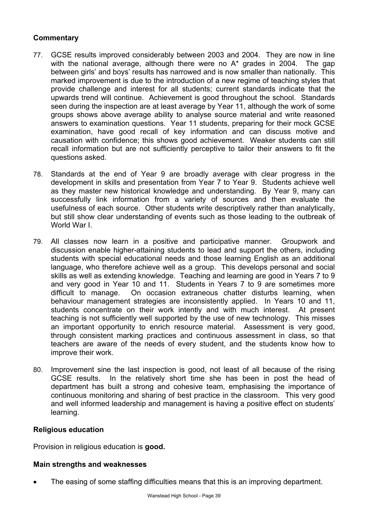# **Commentary**

- 77. GCSE results improved considerably between 2003 and 2004. They are now in line with the national average, although there were no A<sup>\*</sup> grades in 2004. The gap between girls' and boys' results has narrowed and is now smaller than nationally. This marked improvement is due to the introduction of a new regime of teaching styles that provide challenge and interest for all students; current standards indicate that the upwards trend will continue. Achievement is good throughout the school. Standards seen during the inspection are at least average by Year 11, although the work of some groups shows above average ability to analyse source material and write reasoned answers to examination questions. Year 11 students, preparing for their mock GCSE examination, have good recall of key information and can discuss motive and causation with confidence; this shows good achievement. Weaker students can still recall information but are not sufficiently perceptive to tailor their answers to fit the questions asked.
- 78. Standards at the end of Year 9 are broadly average with clear progress in the development in skills and presentation from Year 7 to Year 9. Students achieve well as they master new historical knowledge and understanding. By Year 9, many can successfully link information from a variety of sources and then evaluate the usefulness of each source. Other students write descriptively rather than analytically, but still show clear understanding of events such as those leading to the outbreak of World War I.
- 79. All classes now learn in a positive and participative manner. Groupwork and discussion enable higher-attaining students to lead and support the others, including students with special educational needs and those learning English as an additional language, who therefore achieve well as a group. This develops personal and social skills as well as extending knowledge. Teaching and learning are good in Years 7 to 9 and very good in Year 10 and 11. Students in Years 7 to 9 are sometimes more difficult to manage. On occasion extraneous chatter disturbs learning, when behaviour management strategies are inconsistently applied. In Years 10 and 11, students concentrate on their work intently and with much interest. At present teaching is not sufficiently well supported by the use of new technology. This misses an important opportunity to enrich resource material. Assessment is very good, through consistent marking practices and continuous assessment in class, so that teachers are aware of the needs of every student, and the students know how to improve their work.
- 80. Improvement sine the last inspection is good, not least of all because of the rising GCSE results. In the relatively short time she has been in post the head of department has built a strong and cohesive team, emphasising the importance of continuous monitoring and sharing of best practice in the classroom. This very good and well informed leadership and management is having a positive effect on students' learning.

#### **Religious education**

Provision in religious education is **good.** 

#### **Main strengths and weaknesses**

The easing of some staffing difficulties means that this is an improving department.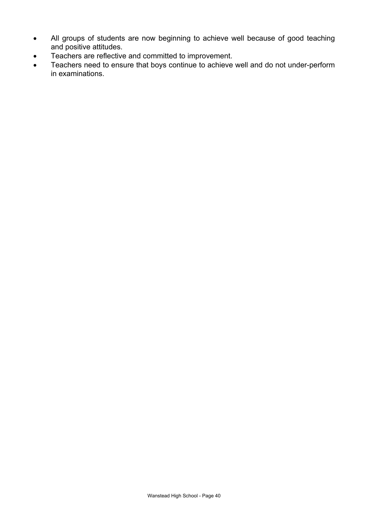- All groups of students are now beginning to achieve well because of good teaching and positive attitudes.
- Teachers are reflective and committed to improvement.
- Teachers need to ensure that boys continue to achieve well and do not under-perform in examinations.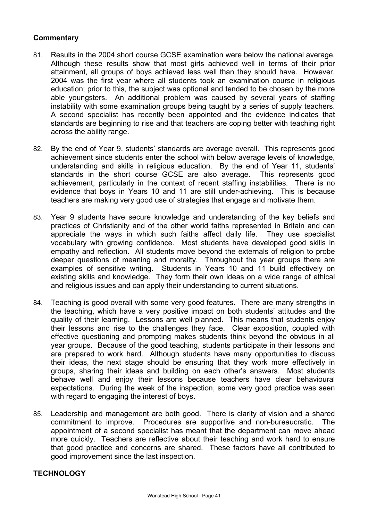#### **Commentary**

- 81. Results in the 2004 short course GCSE examination were below the national average. Although these results show that most girls achieved well in terms of their prior attainment, all groups of boys achieved less well than they should have. However, 2004 was the first year where all students took an examination course in religious education; prior to this, the subject was optional and tended to be chosen by the more able youngsters. An additional problem was caused by several years of staffing instability with some examination groups being taught by a series of supply teachers. A second specialist has recently been appointed and the evidence indicates that standards are beginning to rise and that teachers are coping better with teaching right across the ability range.
- 82. By the end of Year 9, students' standards are average overall. This represents good achievement since students enter the school with below average levels of knowledge, understanding and skills in religious education. By the end of Year 11, students' standards in the short course GCSE are also average. This represents good achievement, particularly in the context of recent staffing instabilities. There is no evidence that boys in Years 10 and 11 are still under-achieving. This is because teachers are making very good use of strategies that engage and motivate them.
- 83. Year 9 students have secure knowledge and understanding of the key beliefs and practices of Christianity and of the other world faiths represented in Britain and can appreciate the ways in which such faiths affect daily life. They use specialist vocabulary with growing confidence. Most students have developed good skills in empathy and reflection. All students move beyond the externals of religion to probe deeper questions of meaning and morality. Throughout the year groups there are examples of sensitive writing. Students in Years 10 and 11 build effectively on existing skills and knowledge. They form their own ideas on a wide range of ethical and religious issues and can apply their understanding to current situations.
- 84. Teaching is good overall with some very good features. There are many strengths in the teaching, which have a very positive impact on both students' attitudes and the quality of their learning. Lessons are well planned. This means that students enjoy their lessons and rise to the challenges they face. Clear exposition, coupled with effective questioning and prompting makes students think beyond the obvious in all year groups. Because of the good teaching, students participate in their lessons and are prepared to work hard. Although students have many opportunities to discuss their ideas, the next stage should be ensuring that they work more effectively in groups, sharing their ideas and building on each other's answers. Most students behave well and enjoy their lessons because teachers have clear behavioural expectations. During the week of the inspection, some very good practice was seen with regard to engaging the interest of boys.
- 85. Leadership and management are both good. There is clarity of vision and a shared commitment to improve. Procedures are supportive and non-bureaucratic. The appointment of a second specialist has meant that the department can move ahead more quickly. Teachers are reflective about their teaching and work hard to ensure that good practice and concerns are shared. These factors have all contributed to good improvement since the last inspection.

#### **TECHNOLOGY**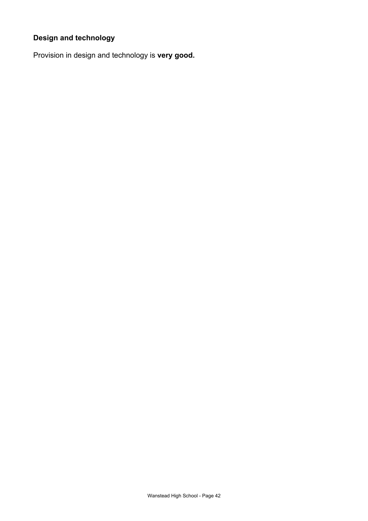# **Design and technology**

Provision in design and technology is **very good.**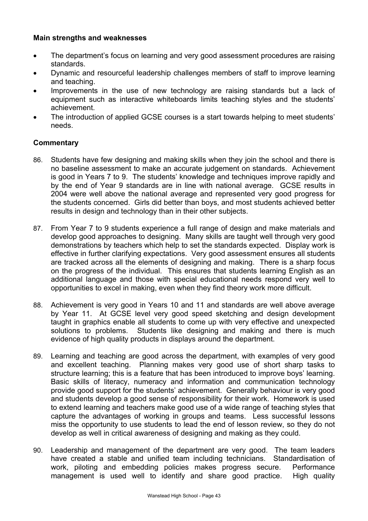#### **Main strengths and weaknesses**

- The department's focus on learning and very good assessment procedures are raising standards.
- Dynamic and resourceful leadership challenges members of staff to improve learning and teaching.
- Improvements in the use of new technology are raising standards but a lack of equipment such as interactive whiteboards limits teaching styles and the students' achievement.
- The introduction of applied GCSE courses is a start towards helping to meet students' needs.

- 86. Students have few designing and making skills when they join the school and there is no baseline assessment to make an accurate judgement on standards. Achievement is good in Years 7 to 9. The students' knowledge and techniques improve rapidly and by the end of Year 9 standards are in line with national average. GCSE results in 2004 were well above the national average and represented very good progress for the students concerned. Girls did better than boys, and most students achieved better results in design and technology than in their other subjects.
- 87. From Year 7 to 9 students experience a full range of design and make materials and develop good approaches to designing. Many skills are taught well through very good demonstrations by teachers which help to set the standards expected. Display work is effective in further clarifying expectations. Very good assessment ensures all students are tracked across all the elements of designing and making. There is a sharp focus on the progress of the individual. This ensures that students learning English as an additional language and those with special educational needs respond very well to opportunities to excel in making, even when they find theory work more difficult.
- 88. Achievement is very good in Years 10 and 11 and standards are well above average by Year 11. At GCSE level very good speed sketching and design development taught in graphics enable all students to come up with very effective and unexpected solutions to problems. Students like designing and making and there is much evidence of high quality products in displays around the department.
- 89. Learning and teaching are good across the department, with examples of very good and excellent teaching. Planning makes very good use of short sharp tasks to structure learning; this is a feature that has been introduced to improve boys' learning. Basic skills of literacy, numeracy and information and communication technology provide good support for the students' achievement. Generally behaviour is very good and students develop a good sense of responsibility for their work. Homework is used to extend learning and teachers make good use of a wide range of teaching styles that capture the advantages of working in groups and teams. Less successful lessons miss the opportunity to use students to lead the end of lesson review, so they do not develop as well in critical awareness of designing and making as they could.
- 90. Leadership and management of the department are very good. The team leaders have created a stable and unified team including technicians. Standardisation of work, piloting and embedding policies makes progress secure. Performance management is used well to identify and share good practice. High quality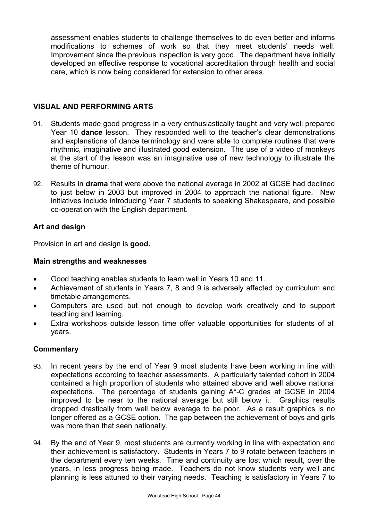assessment enables students to challenge themselves to do even better and informs modifications to schemes of work so that they meet students' needs well. Improvement since the previous inspection is very good. The department have initially developed an effective response to vocational accreditation through health and social care, which is now being considered for extension to other areas.

## **VISUAL AND PERFORMING ARTS**

- 91. Students made good progress in a very enthusiastically taught and very well prepared Year 10 **dance** lesson. They responded well to the teacher's clear demonstrations and explanations of dance terminology and were able to complete routines that were rhythmic, imaginative and illustrated good extension. The use of a video of monkeys at the start of the lesson was an imaginative use of new technology to illustrate the theme of humour.
- 92. Results in **drama** that were above the national average in 2002 at GCSE had declined to just below in 2003 but improved in 2004 to approach the national figure. New initiatives include introducing Year 7 students to speaking Shakespeare, and possible co-operation with the English department.

## **Art and design**

Provision in art and design is **good.** 

#### **Main strengths and weaknesses**

- Good teaching enables students to learn well in Years 10 and 11.
- Achievement of students in Years 7, 8 and 9 is adversely affected by curriculum and timetable arrangements.
- Computers are used but not enough to develop work creatively and to support teaching and learning.
- Extra workshops outside lesson time offer valuable opportunities for students of all years.

- 93. In recent years by the end of Year 9 most students have been working in line with expectations according to teacher assessments. A particularly talented cohort in 2004 contained a high proportion of students who attained above and well above national expectations. The percentage of students gaining A\*-C grades at GCSE in 2004 improved to be near to the national average but still below it. Graphics results dropped drastically from well below average to be poor. As a result graphics is no longer offered as a GCSE option. The gap between the achievement of boys and girls was more than that seen nationally.
- 94. By the end of Year 9, most students are currently working in line with expectation and their achievement is satisfactory. Students in Years 7 to 9 rotate between teachers in the department every ten weeks. Time and continuity are lost which result, over the years, in less progress being made. Teachers do not know students very well and planning is less attuned to their varying needs. Teaching is satisfactory in Years 7 to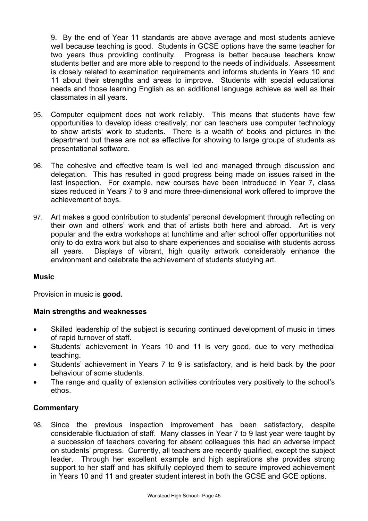9. By the end of Year 11 standards are above average and most students achieve well because teaching is good. Students in GCSE options have the same teacher for two years thus providing continuity. Progress is better because teachers know students better and are more able to respond to the needs of individuals. Assessment is closely related to examination requirements and informs students in Years 10 and 11 about their strengths and areas to improve. Students with special educational needs and those learning English as an additional language achieve as well as their classmates in all years.

- 95. Computer equipment does not work reliably. This means that students have few opportunities to develop ideas creatively; nor can teachers use computer technology to show artists' work to students. There is a wealth of books and pictures in the department but these are not as effective for showing to large groups of students as presentational software.
- 96. The cohesive and effective team is well led and managed through discussion and delegation. This has resulted in good progress being made on issues raised in the last inspection. For example, new courses have been introduced in Year 7, class sizes reduced in Years 7 to 9 and more three-dimensional work offered to improve the achievement of boys.
- 97. Art makes a good contribution to students' personal development through reflecting on their own and others' work and that of artists both here and abroad. Art is very popular and the extra workshops at lunchtime and after school offer opportunities not only to do extra work but also to share experiences and socialise with students across all years. Displays of vibrant, high quality artwork considerably enhance the environment and celebrate the achievement of students studying art.

#### **Music**

Provision in music is **good.** 

#### **Main strengths and weaknesses**

- Skilled leadership of the subject is securing continued development of music in times of rapid turnover of staff.
- Students' achievement in Years 10 and 11 is very good, due to very methodical teaching.
- Students' achievement in Years 7 to 9 is satisfactory, and is held back by the poor behaviour of some students.
- The range and quality of extension activities contributes very positively to the school's ethos.

#### **Commentary**

98. Since the previous inspection improvement has been satisfactory, despite considerable fluctuation of staff. Many classes in Year 7 to 9 last year were taught by a succession of teachers covering for absent colleagues this had an adverse impact on students' progress. Currently, all teachers are recently qualified, except the subject leader. Through her excellent example and high aspirations she provides strong support to her staff and has skilfully deployed them to secure improved achievement in Years 10 and 11 and greater student interest in both the GCSE and GCE options.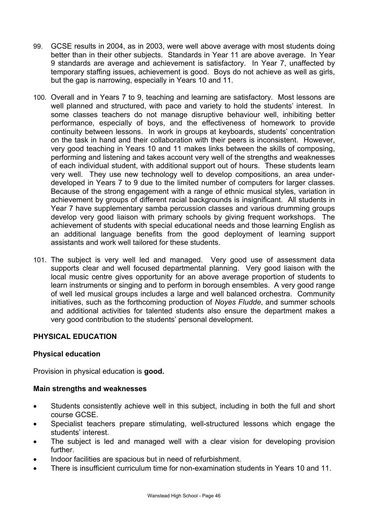- 99. GCSE results in 2004, as in 2003, were well above average with most students doing better than in their other subjects. Standards in Year 11 are above average. In Year 9 standards are average and achievement is satisfactory. In Year 7, unaffected by temporary staffing issues, achievement is good. Boys do not achieve as well as girls, but the gap is narrowing, especially in Years 10 and 11.
- 100. Overall and in Years 7 to 9, teaching and learning are satisfactory. Most lessons are well planned and structured, with pace and variety to hold the students' interest. In some classes teachers do not manage disruptive behaviour well, inhibiting better performance, especially of boys, and the effectiveness of homework to provide continuity between lessons. In work in groups at keyboards, students' concentration on the task in hand and their collaboration with their peers is inconsistent. However, very good teaching in Years 10 and 11 makes links between the skills of composing, performing and listening and takes account very well of the strengths and weaknesses of each individual student, with additional support out of hours. These students learn very well. They use new technology well to develop compositions, an area underdeveloped in Years 7 to 9 due to the limited number of computers for larger classes. Because of the strong engagement with a range of ethnic musical styles, variation in achievement by groups of different racial backgrounds is insignificant. All students in Year 7 have supplementary samba percussion classes and various drumming groups develop very good liaison with primary schools by giving frequent workshops. The achievement of students with special educational needs and those learning English as an additional language benefits from the good deployment of learning support assistants and work well tailored for these students.
- 101. The subject is very well led and managed. Very good use of assessment data supports clear and well focused departmental planning. Very good liaison with the local music centre gives opportunity for an above average proportion of students to learn instruments or singing and to perform in borough ensembles. A very good range of well led musical groups includes a large and well balanced orchestra. Community initiatives, such as the forthcoming production of *Noyes Fludde*, and summer schools and additional activities for talented students also ensure the department makes a very good contribution to the students' personal development.

# **PHYSICAL EDUCATION**

#### **Physical education**

Provision in physical education is **good.** 

#### **Main strengths and weaknesses**

- Students consistently achieve well in this subject, including in both the full and short course GCSE.
- Specialist teachers prepare stimulating, well-structured lessons which engage the students' interest.
- The subject is led and managed well with a clear vision for developing provision further.
- Indoor facilities are spacious but in need of refurbishment.
- There is insufficient curriculum time for non-examination students in Years 10 and 11.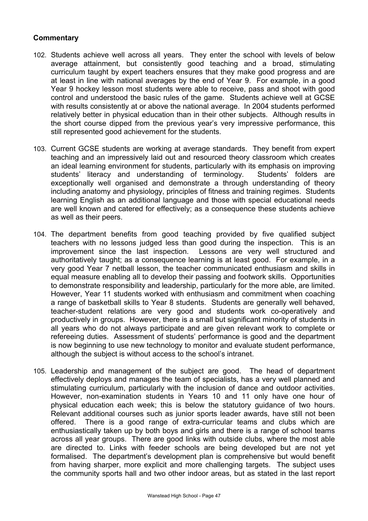- 102. Students achieve well across all years. They enter the school with levels of below average attainment, but consistently good teaching and a broad, stimulating curriculum taught by expert teachers ensures that they make good progress and are at least in line with national averages by the end of Year 9. For example, in a good Year 9 hockey lesson most students were able to receive, pass and shoot with good control and understood the basic rules of the game. Students achieve well at GCSE with results consistently at or above the national average. In 2004 students performed relatively better in physical education than in their other subjects. Although results in the short course dipped from the previous year's very impressive performance, this still represented good achievement for the students.
- 103. Current GCSE students are working at average standards. They benefit from expert teaching and an impressively laid out and resourced theory classroom which creates an ideal learning environment for students, particularly with its emphasis on improving students' literacy and understanding of terminology. Students' folders are exceptionally well organised and demonstrate a through understanding of theory including anatomy and physiology, principles of fitness and training regimes. Students learning English as an additional language and those with special educational needs are well known and catered for effectively; as a consequence these students achieve as well as their peers.
- 104. The department benefits from good teaching provided by five qualified subject teachers with no lessons judged less than good during the inspection. This is an improvement since the last inspection. Lessons are very well structured and authoritatively taught; as a consequence learning is at least good. For example, in a very good Year 7 netball lesson, the teacher communicated enthusiasm and skills in equal measure enabling all to develop their passing and footwork skills. Opportunities to demonstrate responsibility and leadership, particularly for the more able, are limited. However, Year 11 students worked with enthusiasm and commitment when coaching a range of basketball skills to Year 8 students. Students are generally well behaved, teacher-student relations are very good and students work co-operatively and productively in groups. However, there is a small but significant minority of students in all years who do not always participate and are given relevant work to complete or refereeing duties. Assessment of students' performance is good and the department is now beginning to use new technology to monitor and evaluate student performance, although the subject is without access to the school's intranet.
- 105. Leadership and management of the subject are good. The head of department effectively deploys and manages the team of specialists, has a very well planned and stimulating curriculum, particularly with the inclusion of dance and outdoor activities. However, non-examination students in Years 10 and 11 only have one hour of physical education each week; this is below the statutory guidance of two hours. Relevant additional courses such as junior sports leader awards, have still not been offered. There is a good range of extra-curricular teams and clubs which are enthusiastically taken up by both boys and girls and there is a range of school teams across all year groups. There are good links with outside clubs, where the most able are directed to. Links with feeder schools are being developed but are not yet formalised. The department's development plan is comprehensive but would benefit from having sharper, more explicit and more challenging targets. The subject uses the community sports hall and two other indoor areas, but as stated in the last report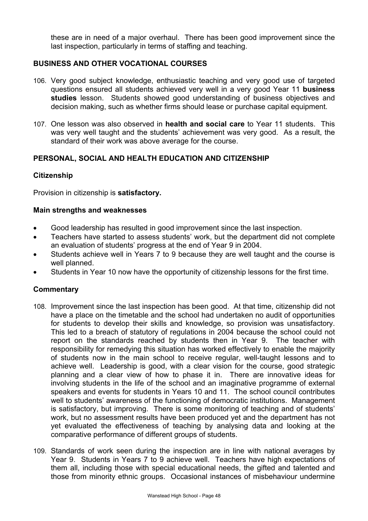these are in need of a major overhaul. There has been good improvement since the last inspection, particularly in terms of staffing and teaching.

## **BUSINESS AND OTHER VOCATIONAL COURSES**

- 106. Very good subject knowledge, enthusiastic teaching and very good use of targeted questions ensured all students achieved very well in a very good Year 11 **business studies** lesson. Students showed good understanding of business objectives and decision making, such as whether firms should lease or purchase capital equipment.
- 107. One lesson was also observed in **health and social care** to Year 11 students. This was very well taught and the students' achievement was very good. As a result, the standard of their work was above average for the course.

## **PERSONAL, SOCIAL AND HEALTH EDUCATION AND CITIZENSHIP**

#### **Citizenship**

Provision in citizenship is **satisfactory.**

#### **Main strengths and weaknesses**

- Good leadership has resulted in good improvement since the last inspection.
- Teachers have started to assess students' work, but the department did not complete an evaluation of students' progress at the end of Year 9 in 2004.
- Students achieve well in Years 7 to 9 because they are well taught and the course is well planned.
- Students in Year 10 now have the opportunity of citizenship lessons for the first time.

- 108. Improvement since the last inspection has been good. At that time, citizenship did not have a place on the timetable and the school had undertaken no audit of opportunities for students to develop their skills and knowledge, so provision was unsatisfactory. This led to a breach of statutory of regulations in 2004 because the school could not report on the standards reached by students then in Year 9. The teacher with responsibility for remedying this situation has worked effectively to enable the majority of students now in the main school to receive regular, well-taught lessons and to achieve well. Leadership is good, with a clear vision for the course, good strategic planning and a clear view of how to phase it in. There are innovative ideas for involving students in the life of the school and an imaginative programme of external speakers and events for students in Years 10 and 11. The school council contributes well to students' awareness of the functioning of democratic institutions. Management is satisfactory, but improving. There is some monitoring of teaching and of students' work, but no assessment results have been produced yet and the department has not yet evaluated the effectiveness of teaching by analysing data and looking at the comparative performance of different groups of students.
- 109. Standards of work seen during the inspection are in line with national averages by Year 9. Students in Years 7 to 9 achieve well. Teachers have high expectations of them all, including those with special educational needs, the gifted and talented and those from minority ethnic groups. Occasional instances of misbehaviour undermine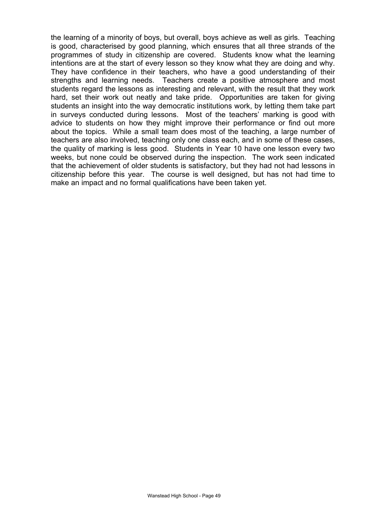the learning of a minority of boys, but overall, boys achieve as well as girls. Teaching is good, characterised by good planning, which ensures that all three strands of the programmes of study in citizenship are covered. Students know what the learning intentions are at the start of every lesson so they know what they are doing and why. They have confidence in their teachers, who have a good understanding of their strengths and learning needs. Teachers create a positive atmosphere and most students regard the lessons as interesting and relevant, with the result that they work hard, set their work out neatly and take pride. Opportunities are taken for giving students an insight into the way democratic institutions work, by letting them take part in surveys conducted during lessons. Most of the teachers' marking is good with advice to students on how they might improve their performance or find out more about the topics. While a small team does most of the teaching, a large number of teachers are also involved, teaching only one class each, and in some of these cases, the quality of marking is less good. Students in Year 10 have one lesson every two weeks, but none could be observed during the inspection. The work seen indicated that the achievement of older students is satisfactory, but they had not had lessons in citizenship before this year. The course is well designed, but has not had time to make an impact and no formal qualifications have been taken yet.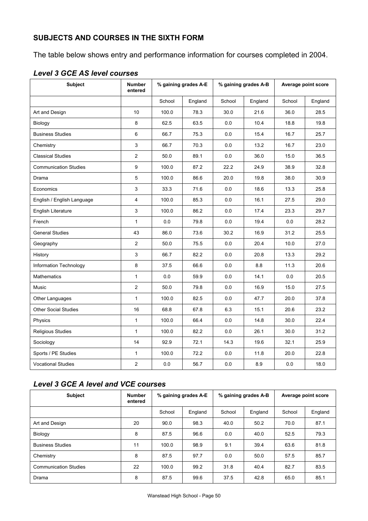# **SUBJECTS AND COURSES IN THE SIXTH FORM**

The table below shows entry and performance information for courses completed in 2004.

| <b>Subject</b>               | <b>Number</b><br>entered | % gaining grades A-E |         | % gaining grades A-B |         | Average point score |         |
|------------------------------|--------------------------|----------------------|---------|----------------------|---------|---------------------|---------|
|                              |                          | School               | England | School               | England | School              | England |
| Art and Design               | 10                       | 100.0                | 78.3    | 30.0                 | 21.6    | 36.0                | 28.5    |
| Biology                      | 8                        | 62.5                 | 63.5    | 0.0                  | 10.4    | 18.8                | 19.8    |
| <b>Business Studies</b>      | 6                        | 66.7                 | 75.3    | 0.0                  | 15.4    | 16.7                | 25.7    |
| Chemistry                    | 3                        | 66.7                 | 70.3    | 0.0                  | 13.2    | 16.7                | 23.0    |
| <b>Classical Studies</b>     | $\overline{2}$           | 50.0                 | 89.1    | 0.0                  | 36.0    | 15.0                | 36.5    |
| <b>Communication Studies</b> | 9                        | 100.0                | 87.2    | 22.2                 | 24.9    | 38.9                | 32.8    |
| Drama                        | 5                        | 100.0                | 86.6    | 20.0                 | 19.8    | 38.0                | 30.9    |
| Economics                    | 3                        | 33.3                 | 71.6    | 0.0                  | 18.6    | 13.3                | 25.8    |
| English / English Language   | $\overline{\mathbf{4}}$  | 100.0                | 85.3    | 0.0                  | 16.1    | 27.5                | 29.0    |
| <b>English Literature</b>    | 3                        | 100.0                | 86.2    | 0.0                  | 17.4    | 23.3                | 29.7    |
| French                       | $\mathbf{1}$             | 0.0                  | 79.8    | 0.0                  | 19.4    | 0.0                 | 28.2    |
| <b>General Studies</b>       | 43                       | 86.0                 | 73.6    | 30.2                 | 16.9    | 31.2                | 25.5    |
| Geography                    | $\overline{2}$           | 50.0                 | 75.5    | 0.0                  | 20.4    | 10.0                | 27.0    |
| History                      | 3                        | 66.7                 | 82.2    | 0.0                  | 20.8    | 13.3                | 29.2    |
| Information Technology       | 8                        | 37.5                 | 66.6    | 0.0                  | 8.8     | 11.3                | 20.6    |
| <b>Mathematics</b>           | $\mathbf{1}$             | 0.0                  | 59.9    | 0.0                  | 14.1    | 0.0                 | 20.5    |
| Music                        | $\overline{2}$           | 50.0                 | 79.8    | 0.0                  | 16.9    | 15.0                | 27.5    |
| Other Languages              | $\mathbf{1}$             | 100.0                | 82.5    | 0.0                  | 47.7    | 20.0                | 37.8    |
| <b>Other Social Studies</b>  | 16                       | 68.8                 | 67.8    | 6.3                  | 15.1    | 20.6                | 23.2    |
| Physics                      | $\mathbf{1}$             | 100.0                | 66.4    | 0.0                  | 14.8    | 30.0                | 22.4    |
| Religious Studies            | $\mathbf{1}$             | 100.0                | 82.2    | 0.0                  | 26.1    | 30.0                | 31.2    |
| Sociology                    | 14                       | 92.9                 | 72.1    | 14.3                 | 19.6    | 32.1                | 25.9    |
| Sports / PE Studies          | $\mathbf{1}$             | 100.0                | 72.2    | 0.0                  | 11.8    | 20.0                | 22.8    |
| <b>Vocational Studies</b>    | $\overline{c}$           | 0.0                  | 56.7    | 0.0                  | 8.9     | 0.0                 | 18.0    |

# *Level 3 GCE AS level courses*

# *Level 3 GCE A level and VCE courses*

| <b>Subject</b>               | Number<br>entered | % gaining grades A-E |         | % gaining grades A-B |         | Average point score |         |
|------------------------------|-------------------|----------------------|---------|----------------------|---------|---------------------|---------|
|                              |                   | School               | England | School               | England | School              | England |
| Art and Design               | 20                | 90.0                 | 98.3    | 40.0                 | 50.2    | 70.0                | 87.1    |
| Biology                      | 8                 | 87.5                 | 96.6    | 0.0                  | 40.0    | 52.5                | 79.3    |
| <b>Business Studies</b>      | 11                | 100.0                | 98.9    | 9.1                  | 39.4    | 63.6                | 81.8    |
| Chemistry                    | 8                 | 87.5                 | 97.7    | 0.0                  | 50.0    | 57.5                | 85.7    |
| <b>Communication Studies</b> | 22                | 100.0                | 99.2    | 31.8                 | 40.4    | 82.7                | 83.5    |
| Drama                        | 8                 | 87.5                 | 99.6    | 37.5                 | 42.8    | 65.0                | 85.1    |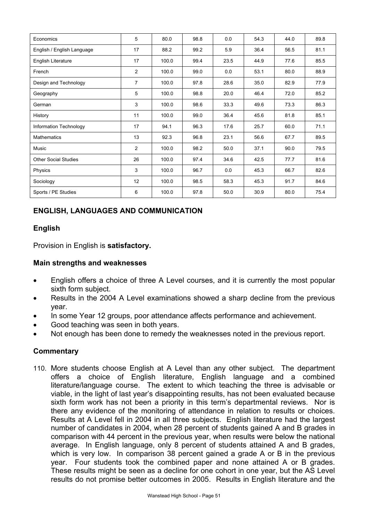| Economics                   | 5              | 80.0  | 98.8 | 0.0  | 54.3 | 44.0 | 89.8 |
|-----------------------------|----------------|-------|------|------|------|------|------|
| English / English Language  | 17             | 88.2  | 99.2 | 5.9  | 36.4 | 56.5 | 81.1 |
| English Literature          | 17             | 100.0 | 99.4 | 23.5 | 44.9 | 77.6 | 85.5 |
| French                      | $\overline{2}$ | 100.0 | 99.0 | 0.0  | 53.1 | 80.0 | 88.9 |
| Design and Technology       | $\overline{7}$ | 100.0 | 97.8 | 28.6 | 35.0 | 82.9 | 77.9 |
| Geography                   | 5              | 100.0 | 98.8 | 20.0 | 46.4 | 72.0 | 85.2 |
| German                      | 3              | 100.0 | 98.6 | 33.3 | 49.6 | 73.3 | 86.3 |
| History                     | 11             | 100.0 | 99.0 | 36.4 | 45.6 | 81.8 | 85.1 |
| Information Technology      | 17             | 94.1  | 96.3 | 17.6 | 25.7 | 60.0 | 71.1 |
| <b>Mathematics</b>          | 13             | 92.3  | 96.8 | 23.1 | 56.6 | 67.7 | 89.5 |
| Music                       | $\overline{2}$ | 100.0 | 98.2 | 50.0 | 37.1 | 90.0 | 79.5 |
| <b>Other Social Studies</b> | 26             | 100.0 | 97.4 | 34.6 | 42.5 | 77.7 | 81.6 |
| Physics                     | 3              | 100.0 | 96.7 | 0.0  | 45.3 | 66.7 | 82.6 |
| Sociology                   | 12             | 100.0 | 98.5 | 58.3 | 45.3 | 91.7 | 84.6 |
| Sports / PE Studies         | 6              | 100.0 | 97.8 | 50.0 | 30.9 | 80.0 | 75.4 |

# **ENGLISH, LANGUAGES AND COMMUNICATION**

# **English**

Provision in English is **satisfactory.**

#### **Main strengths and weaknesses**

- English offers a choice of three A Level courses, and it is currently the most popular sixth form subject.
- Results in the 2004 A Level examinations showed a sharp decline from the previous year.
- In some Year 12 groups, poor attendance affects performance and achievement.
- Good teaching was seen in both years.
- Not enough has been done to remedy the weaknesses noted in the previous report.

# **Commentary**

110. More students choose English at A Level than any other subject. The department offers a choice of English literature, English language and a combined literature/language course. The extent to which teaching the three is advisable or viable, in the light of last year's disappointing results, has not been evaluated because sixth form work has not been a priority in this term's departmental reviews. Nor is there any evidence of the monitoring of attendance in relation to results or choices. Results at A Level fell in 2004 in all three subjects. English literature had the largest number of candidates in 2004, when 28 percent of students gained A and B grades in comparison with 44 percent in the previous year, when results were below the national average. In English language, only 8 percent of students attained A and B grades, which is very low. In comparison 38 percent gained a grade A or B in the previous year. Four students took the combined paper and none attained A or B grades. These results might be seen as a decline for one cohort in one year, but the AS Level results do not promise better outcomes in 2005. Results in English literature and the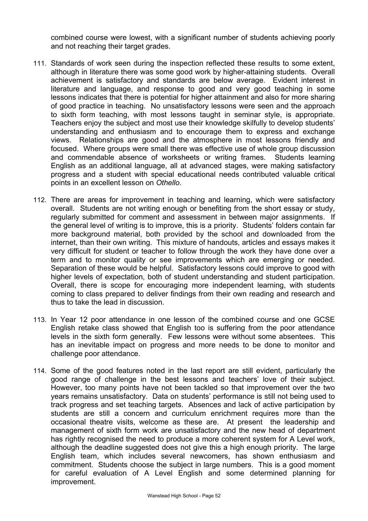combined course were lowest, with a significant number of students achieving poorly and not reaching their target grades.

- 111. Standards of work seen during the inspection reflected these results to some extent, although in literature there was some good work by higher-attaining students. Overall achievement is satisfactory and standards are below average. Evident interest in literature and language, and response to good and very good teaching in some lessons indicates that there is potential for higher attainment and also for more sharing of good practice in teaching. No unsatisfactory lessons were seen and the approach to sixth form teaching, with most lessons taught in seminar style, is appropriate. Teachers enjoy the subject and most use their knowledge skilfully to develop students' understanding and enthusiasm and to encourage them to express and exchange views. Relationships are good and the atmosphere in most lessons friendly and focused. Where groups were small there was effective use of whole group discussion and commendable absence of worksheets or writing frames. Students learning English as an additional language, all at advanced stages, were making satisfactory progress and a student with special educational needs contributed valuable critical points in an excellent lesson on *Othello*.
- 112. There are areas for improvement in teaching and learning, which were satisfactory overall. Students are not writing enough or benefiting from the short essay or study, regularly submitted for comment and assessment in between major assignments. If the general level of writing is to improve, this is a priority. Students' folders contain far more background material, both provided by the school and downloaded from the internet, than their own writing. This mixture of handouts, articles and essays makes it very difficult for student or teacher to follow through the work they have done over a term and to monitor quality or see improvements which are emerging or needed. Separation of these would be helpful. Satisfactory lessons could improve to good with higher levels of expectation, both of student understanding and student participation. Overall, there is scope for encouraging more independent learning, with students coming to class prepared to deliver findings from their own reading and research and thus to take the lead in discussion.
- 113. In Year 12 poor attendance in one lesson of the combined course and one GCSE English retake class showed that English too is suffering from the poor attendance levels in the sixth form generally. Few lessons were without some absentees. This has an inevitable impact on progress and more needs to be done to monitor and challenge poor attendance.
- 114. Some of the good features noted in the last report are still evident, particularly the good range of challenge in the best lessons and teachers' love of their subject. However, too many points have not been tackled so that improvement over the two years remains unsatisfactory. Data on students' performance is still not being used to track progress and set teaching targets. Absences and lack of active participation by students are still a concern and curriculum enrichment requires more than the occasional theatre visits, welcome as these are. At present the leadership and management of sixth form work are unsatisfactory and the new head of department has rightly recognised the need to produce a more coherent system for A Level work, although the deadline suggested does not give this a high enough priority. The large English team, which includes several newcomers, has shown enthusiasm and commitment. Students choose the subject in large numbers. This is a good moment for careful evaluation of A Level English and some determined planning for improvement.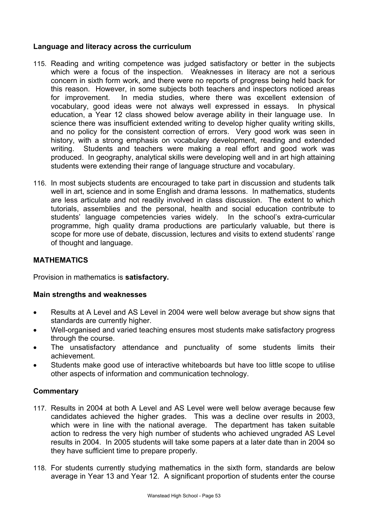#### **Language and literacy across the curriculum**

- 115. Reading and writing competence was judged satisfactory or better in the subjects which were a focus of the inspection. Weaknesses in literacy are not a serious concern in sixth form work, and there were no reports of progress being held back for this reason. However, in some subjects both teachers and inspectors noticed areas for improvement. In media studies, where there was excellent extension of vocabulary, good ideas were not always well expressed in essays. In physical education, a Year 12 class showed below average ability in their language use. In science there was insufficient extended writing to develop higher quality writing skills, and no policy for the consistent correction of errors. Very good work was seen in history, with a strong emphasis on vocabulary development, reading and extended writing. Students and teachers were making a real effort and good work was produced. In geography, analytical skills were developing well and in art high attaining students were extending their range of language structure and vocabulary.
- 116. In most subjects students are encouraged to take part in discussion and students talk well in art, science and in some English and drama lessons. In mathematics, students are less articulate and not readily involved in class discussion. The extent to which tutorials, assemblies and the personal, health and social education contribute to students' language competencies varies widely. In the school's extra-curricular programme, high quality drama productions are particularly valuable, but there is scope for more use of debate, discussion, lectures and visits to extend students' range of thought and language.

# **MATHEMATICS**

Provision in mathematics is **satisfactory.**

#### **Main strengths and weaknesses**

- Results at A Level and AS Level in 2004 were well below average but show signs that standards are currently higher.
- Well-organised and varied teaching ensures most students make satisfactory progress through the course.
- The unsatisfactory attendance and punctuality of some students limits their achievement.
- Students make good use of interactive whiteboards but have too little scope to utilise other aspects of information and communication technology.

- 117. Results in 2004 at both A Level and AS Level were well below average because few candidates achieved the higher grades. This was a decline over results in 2003, which were in line with the national average. The department has taken suitable action to redress the very high number of students who achieved ungraded AS Level results in 2004. In 2005 students will take some papers at a later date than in 2004 so they have sufficient time to prepare properly.
- 118. For students currently studying mathematics in the sixth form, standards are below average in Year 13 and Year 12. A significant proportion of students enter the course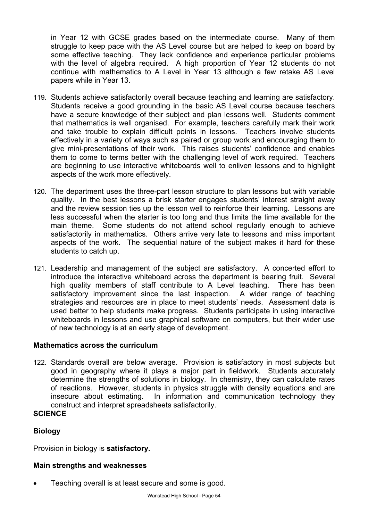in Year 12 with GCSE grades based on the intermediate course. Many of them struggle to keep pace with the AS Level course but are helped to keep on board by some effective teaching. They lack confidence and experience particular problems with the level of algebra required. A high proportion of Year 12 students do not continue with mathematics to A Level in Year 13 although a few retake AS Level papers while in Year 13.

- 119. Students achieve satisfactorily overall because teaching and learning are satisfactory. Students receive a good grounding in the basic AS Level course because teachers have a secure knowledge of their subject and plan lessons well. Students comment that mathematics is well organised. For example, teachers carefully mark their work and take trouble to explain difficult points in lessons. Teachers involve students effectively in a variety of ways such as paired or group work and encouraging them to give mini-presentations of their work. This raises students' confidence and enables them to come to terms better with the challenging level of work required. Teachers are beginning to use interactive whiteboards well to enliven lessons and to highlight aspects of the work more effectively.
- 120. The department uses the three-part lesson structure to plan lessons but with variable quality. In the best lessons a brisk starter engages students' interest straight away and the review session ties up the lesson well to reinforce their learning. Lessons are less successful when the starter is too long and thus limits the time available for the main theme. Some students do not attend school regularly enough to achieve satisfactorily in mathematics. Others arrive very late to lessons and miss important aspects of the work. The sequential nature of the subject makes it hard for these students to catch up.
- 121. Leadership and management of the subject are satisfactory. A concerted effort to introduce the interactive whiteboard across the department is bearing fruit. Several high quality members of staff contribute to A Level teaching. There has been satisfactory improvement since the last inspection. A wider range of teaching strategies and resources are in place to meet students' needs. Assessment data is used better to help students make progress. Students participate in using interactive whiteboards in lessons and use graphical software on computers, but their wider use of new technology is at an early stage of development.

#### **Mathematics across the curriculum**

122. Standards overall are below average. Provision is satisfactory in most subjects but good in geography where it plays a major part in fieldwork. Students accurately determine the strengths of solutions in biology. In chemistry, they can calculate rates of reactions. However, students in physics struggle with density equations and are insecure about estimating. In information and communication technology they construct and interpret spreadsheets satisfactorily.

#### **Biology**

**SCIENCE** 

Provision in biology is **satisfactory.** 

#### **Main strengths and weaknesses**

Teaching overall is at least secure and some is good.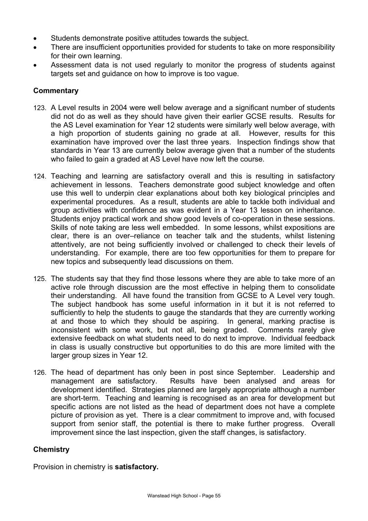- Students demonstrate positive attitudes towards the subject.
- There are insufficient opportunities provided for students to take on more responsibility for their own learning.
- Assessment data is not used regularly to monitor the progress of students against targets set and guidance on how to improve is too vague.

## **Commentary**

- 123. A Level results in 2004 were well below average and a significant number of students did not do as well as they should have given their earlier GCSE results. Results for the AS Level examination for Year 12 students were similarly well below average, with a high proportion of students gaining no grade at all. However, results for this examination have improved over the last three years. Inspection findings show that standards in Year 13 are currently below average given that a number of the students who failed to gain a graded at AS Level have now left the course.
- 124. Teaching and learning are satisfactory overall and this is resulting in satisfactory achievement in lessons. Teachers demonstrate good subject knowledge and often use this well to underpin clear explanations about both key biological principles and experimental procedures. As a result, students are able to tackle both individual and group activities with confidence as was evident in a Year 13 lesson on inheritance. Students enjoy practical work and show good levels of co-operation in these sessions. Skills of note taking are less well embedded. In some lessons, whilst expositions are clear, there is an over–reliance on teacher talk and the students, whilst listening attentively, are not being sufficiently involved or challenged to check their levels of understanding. For example, there are too few opportunities for them to prepare for new topics and subsequently lead discussions on them.
- 125. The students say that they find those lessons where they are able to take more of an active role through discussion are the most effective in helping them to consolidate their understanding. All have found the transition from GCSE to A Level very tough. The subject handbook has some useful information in it but it is not referred to sufficiently to help the students to gauge the standards that they are currently working at and those to which they should be aspiring. In general, marking practise is inconsistent with some work, but not all, being graded. Comments rarely give extensive feedback on what students need to do next to improve. Individual feedback in class is usually constructive but opportunities to do this are more limited with the larger group sizes in Year 12.
- 126. The head of department has only been in post since September. Leadership and management are satisfactory. Results have been analysed and areas for development identified. Strategies planned are largely appropriate although a number are short-term. Teaching and learning is recognised as an area for development but specific actions are not listed as the head of department does not have a complete picture of provision as yet. There is a clear commitment to improve and, with focused support from senior staff, the potential is there to make further progress. Overall improvement since the last inspection, given the staff changes, is satisfactory.

#### **Chemistry**

Provision in chemistry is **satisfactory.**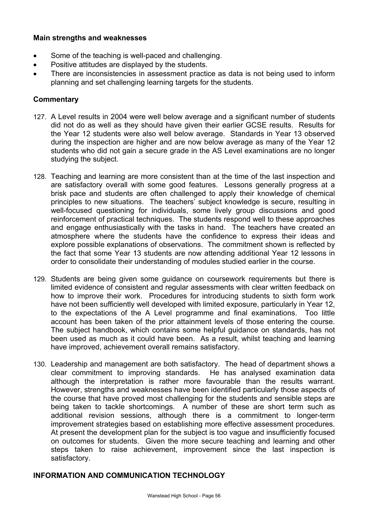#### **Main strengths and weaknesses**

- Some of the teaching is well-paced and challenging.
- Positive attitudes are displayed by the students.
- There are inconsistencies in assessment practice as data is not being used to inform planning and set challenging learning targets for the students.

#### **Commentary**

- 127. A Level results in 2004 were well below average and a significant number of students did not do as well as they should have given their earlier GCSE results. Results for the Year 12 students were also well below average. Standards in Year 13 observed during the inspection are higher and are now below average as many of the Year 12 students who did not gain a secure grade in the AS Level examinations are no longer studying the subject.
- 128. Teaching and learning are more consistent than at the time of the last inspection and are satisfactory overall with some good features. Lessons generally progress at a brisk pace and students are often challenged to apply their knowledge of chemical principles to new situations. The teachers' subject knowledge is secure, resulting in well-focused questioning for individuals, some lively group discussions and good reinforcement of practical techniques. The students respond well to these approaches and engage enthusiastically with the tasks in hand. The teachers have created an atmosphere where the students have the confidence to express their ideas and explore possible explanations of observations. The commitment shown is reflected by the fact that some Year 13 students are now attending additional Year 12 lessons in order to consolidate their understanding of modules studied earlier in the course.
- 129. Students are being given some guidance on coursework requirements but there is limited evidence of consistent and regular assessments with clear written feedback on how to improve their work. Procedures for introducing students to sixth form work have not been sufficiently well developed with limited exposure, particularly in Year 12, to the expectations of the A Level programme and final examinations. Too little account has been taken of the prior attainment levels of those entering the course. The subject handbook, which contains some helpful guidance on standards, has not been used as much as it could have been. As a result, whilst teaching and learning have improved, achievement overall remains satisfactory.
- 130. Leadership and management are both satisfactory. The head of department shows a clear commitment to improving standards. He has analysed examination data although the interpretation is rather more favourable than the results warrant. However, strengths and weaknesses have been identified particularly those aspects of the course that have proved most challenging for the students and sensible steps are being taken to tackle shortcomings. A number of these are short term such as additional revision sessions, although there is a commitment to longer-term improvement strategies based on establishing more effective assessment procedures. At present the development plan for the subject is too vague and insufficiently focused on outcomes for students. Given the more secure teaching and learning and other steps taken to raise achievement, improvement since the last inspection is satisfactory.

#### **INFORMATION AND COMMUNICATION TECHNOLOGY**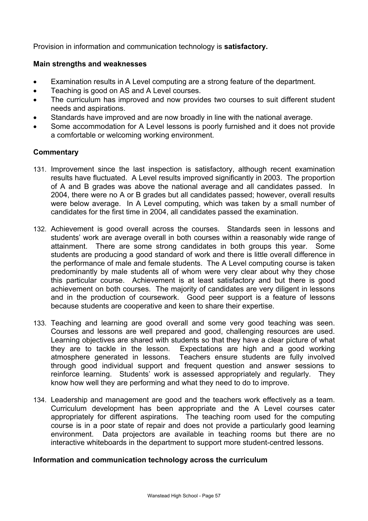Provision in information and communication technology is **satisfactory.** 

#### **Main strengths and weaknesses**

- Examination results in A Level computing are a strong feature of the department.
- Teaching is good on AS and A Level courses.
- The curriculum has improved and now provides two courses to suit different student needs and aspirations.
- Standards have improved and are now broadly in line with the national average.
- Some accommodation for A Level lessons is poorly furnished and it does not provide a comfortable or welcoming working environment.

#### **Commentary**

- 131. Improvement since the last inspection is satisfactory, although recent examination results have fluctuated. A Level results improved significantly in 2003. The proportion of A and B grades was above the national average and all candidates passed. In 2004, there were no A or B grades but all candidates passed; however, overall results were below average. In A Level computing, which was taken by a small number of candidates for the first time in 2004, all candidates passed the examination.
- 132. Achievement is good overall across the courses. Standards seen in lessons and students' work are average overall in both courses within a reasonably wide range of attainment. There are some strong candidates in both groups this year. Some students are producing a good standard of work and there is little overall difference in the performance of male and female students. The A Level computing course is taken predominantly by male students all of whom were very clear about why they chose this particular course. Achievement is at least satisfactory and but there is good achievement on both courses. The majority of candidates are very diligent in lessons and in the production of coursework. Good peer support is a feature of lessons because students are cooperative and keen to share their expertise.
- 133. Teaching and learning are good overall and some very good teaching was seen. Courses and lessons are well prepared and good, challenging resources are used. Learning objectives are shared with students so that they have a clear picture of what they are to tackle in the lesson. Expectations are high and a good working atmosphere generated in lessons. Teachers ensure students are fully involved through good individual support and frequent question and answer sessions to reinforce learning. Students' work is assessed appropriately and regularly. They know how well they are performing and what they need to do to improve.
- 134. Leadership and management are good and the teachers work effectively as a team. Curriculum development has been appropriate and the A Level courses cater appropriately for different aspirations. The teaching room used for the computing course is in a poor state of repair and does not provide a particularly good learning environment. Data projectors are available in teaching rooms but there are no interactive whiteboards in the department to support more student-centred lessons.

#### **Information and communication technology across the curriculum**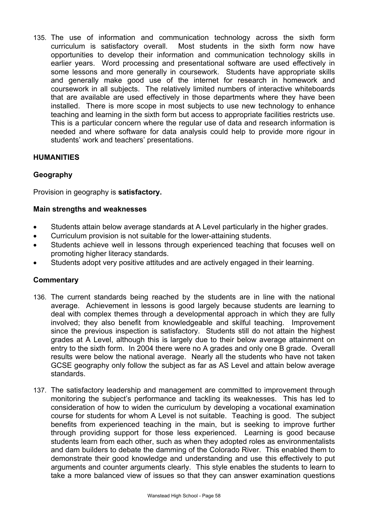135. The use of information and communication technology across the sixth form curriculum is satisfactory overall. Most students in the sixth form now have opportunities to develop their information and communication technology skills in earlier years. Word processing and presentational software are used effectively in some lessons and more generally in coursework. Students have appropriate skills and generally make good use of the internet for research in homework and coursework in all subjects. The relatively limited numbers of interactive whiteboards that are available are used effectively in those departments where they have been installed. There is more scope in most subjects to use new technology to enhance teaching and learning in the sixth form but access to appropriate facilities restricts use. This is a particular concern where the regular use of data and research information is needed and where software for data analysis could help to provide more rigour in students' work and teachers' presentations.

## **HUMANITIES**

## **Geography**

Provision in geography is **satisfactory.** 

#### **Main strengths and weaknesses**

- Students attain below average standards at A Level particularly in the higher grades.
- Curriculum provision is not suitable for the lower-attaining students.
- Students achieve well in lessons through experienced teaching that focuses well on promoting higher literacy standards.
- Students adopt very positive attitudes and are actively engaged in their learning.

- 136. The current standards being reached by the students are in line with the national average. Achievement in lessons is good largely because students are learning to deal with complex themes through a developmental approach in which they are fully involved; they also benefit from knowledgeable and skilful teaching. Improvement since the previous inspection is satisfactory. Students still do not attain the highest grades at A Level, although this is largely due to their below average attainment on entry to the sixth form. In 2004 there were no A grades and only one B grade. Overall results were below the national average. Nearly all the students who have not taken GCSE geography only follow the subject as far as AS Level and attain below average standards.
- 137. The satisfactory leadership and management are committed to improvement through monitoring the subject's performance and tackling its weaknesses. This has led to consideration of how to widen the curriculum by developing a vocational examination course for students for whom A Level is not suitable. Teaching is good. The subject benefits from experienced teaching in the main, but is seeking to improve further through providing support for those less experienced. Learning is good because students learn from each other, such as when they adopted roles as environmentalists and dam builders to debate the damming of the Colorado River. This enabled them to demonstrate their good knowledge and understanding and use this effectively to put arguments and counter arguments clearly. This style enables the students to learn to take a more balanced view of issues so that they can answer examination questions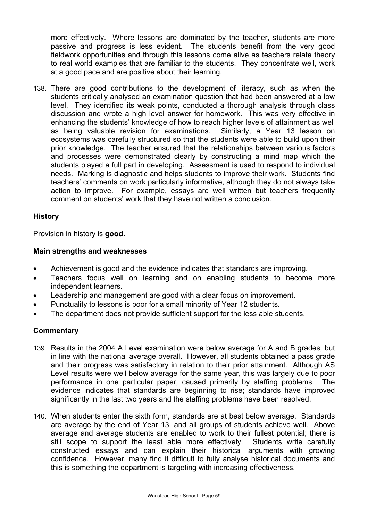more effectively. Where lessons are dominated by the teacher, students are more passive and progress is less evident. The students benefit from the very good fieldwork opportunities and through this lessons come alive as teachers relate theory to real world examples that are familiar to the students. They concentrate well, work at a good pace and are positive about their learning.

138. There are good contributions to the development of literacy, such as when the students critically analysed an examination question that had been answered at a low level. They identified its weak points, conducted a thorough analysis through class discussion and wrote a high level answer for homework. This was very effective in enhancing the students' knowledge of how to reach higher levels of attainment as well as being valuable revision for examinations. Similarly, a Year 13 lesson on ecosystems was carefully structured so that the students were able to build upon their prior knowledge. The teacher ensured that the relationships between various factors and processes were demonstrated clearly by constructing a mind map which the students played a full part in developing. Assessment is used to respond to individual needs. Marking is diagnostic and helps students to improve their work. Students find teachers' comments on work particularly informative, although they do not always take action to improve. For example, essays are well written but teachers frequently comment on students' work that they have not written a conclusion.

#### **History**

Provision in history is **good.** 

#### **Main strengths and weaknesses**

- Achievement is good and the evidence indicates that standards are improving.
- Teachers focus well on learning and on enabling students to become more independent learners.
- Leadership and management are good with a clear focus on improvement.
- Punctuality to lessons is poor for a small minority of Year 12 students.
- The department does not provide sufficient support for the less able students.

- 139. Results in the 2004 A Level examination were below average for A and B grades, but in line with the national average overall. However, all students obtained a pass grade and their progress was satisfactory in relation to their prior attainment. Although AS Level results were well below average for the same year, this was largely due to poor performance in one particular paper, caused primarily by staffing problems. The evidence indicates that standards are beginning to rise; standards have improved significantly in the last two years and the staffing problems have been resolved.
- 140. When students enter the sixth form, standards are at best below average. Standards are average by the end of Year 13, and all groups of students achieve well. Above average and average students are enabled to work to their fullest potential; there is still scope to support the least able more effectively. Students write carefully constructed essays and can explain their historical arguments with growing confidence. However, many find it difficult to fully analyse historical documents and this is something the department is targeting with increasing effectiveness.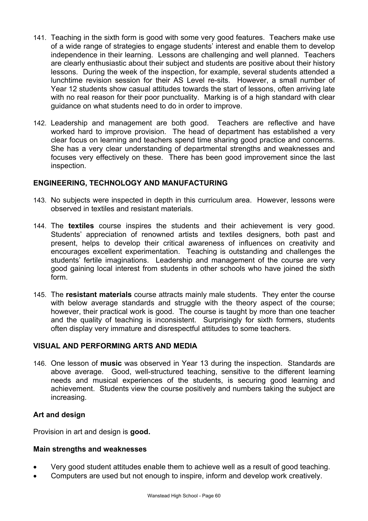- 141. Teaching in the sixth form is good with some very good features. Teachers make use of a wide range of strategies to engage students' interest and enable them to develop independence in their learning. Lessons are challenging and well planned. Teachers are clearly enthusiastic about their subject and students are positive about their history lessons. During the week of the inspection, for example, several students attended a lunchtime revision session for their AS Level re-sits. However, a small number of Year 12 students show casual attitudes towards the start of lessons, often arriving late with no real reason for their poor punctuality. Marking is of a high standard with clear guidance on what students need to do in order to improve.
- 142. Leadership and management are both good. Teachers are reflective and have worked hard to improve provision. The head of department has established a very clear focus on learning and teachers spend time sharing good practice and concerns. She has a very clear understanding of departmental strengths and weaknesses and focuses very effectively on these. There has been good improvement since the last inspection.

# **ENGINEERING, TECHNOLOGY AND MANUFACTURING**

- 143. No subjects were inspected in depth in this curriculum area. However, lessons were observed in textiles and resistant materials.
- 144. The **textiles** course inspires the students and their achievement is very good. Students' appreciation of renowned artists and textiles designers, both past and present, helps to develop their critical awareness of influences on creativity and encourages excellent experimentation. Teaching is outstanding and challenges the students' fertile imaginations. Leadership and management of the course are very good gaining local interest from students in other schools who have joined the sixth form.
- 145. The **resistant materials** course attracts mainly male students. They enter the course with below average standards and struggle with the theory aspect of the course; however, their practical work is good. The course is taught by more than one teacher and the quality of teaching is inconsistent. Surprisingly for sixth formers, students often display very immature and disrespectful attitudes to some teachers.

# **VISUAL AND PERFORMING ARTS AND MEDIA**

146. One lesson of **music** was observed in Year 13 during the inspection. Standards are above average. Good, well-structured teaching, sensitive to the different learning needs and musical experiences of the students, is securing good learning and achievement. Students view the course positively and numbers taking the subject are increasing.

#### **Art and design**

Provision in art and design is **good.** 

#### **Main strengths and weaknesses**

- Very good student attitudes enable them to achieve well as a result of good teaching.
- Computers are used but not enough to inspire, inform and develop work creatively.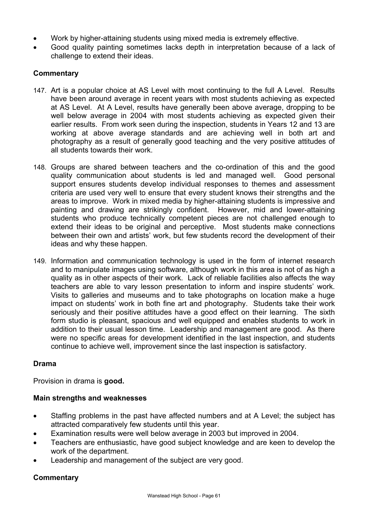- Work by higher-attaining students using mixed media is extremely effective.
- Good quality painting sometimes lacks depth in interpretation because of a lack of challenge to extend their ideas.

## **Commentary**

- 147. Art is a popular choice at AS Level with most continuing to the full A Level. Results have been around average in recent years with most students achieving as expected at AS Level. At A Level, results have generally been above average, dropping to be well below average in 2004 with most students achieving as expected given their earlier results. From work seen during the inspection, students in Years 12 and 13 are working at above average standards and are achieving well in both art and photography as a result of generally good teaching and the very positive attitudes of all students towards their work.
- 148. Groups are shared between teachers and the co-ordination of this and the good quality communication about students is led and managed well. Good personal support ensures students develop individual responses to themes and assessment criteria are used very well to ensure that every student knows their strengths and the areas to improve. Work in mixed media by higher-attaining students is impressive and painting and drawing are strikingly confident. However, mid and lower-attaining students who produce technically competent pieces are not challenged enough to extend their ideas to be original and perceptive. Most students make connections between their own and artists' work, but few students record the development of their ideas and why these happen.
- 149. Information and communication technology is used in the form of internet research and to manipulate images using software, although work in this area is not of as high a quality as in other aspects of their work. Lack of reliable facilities also affects the way teachers are able to vary lesson presentation to inform and inspire students' work. Visits to galleries and museums and to take photographs on location make a huge impact on students' work in both fine art and photography. Students take their work seriously and their positive attitudes have a good effect on their learning. The sixth form studio is pleasant, spacious and well equipped and enables students to work in addition to their usual lesson time. Leadership and management are good. As there were no specific areas for development identified in the last inspection, and students continue to achieve well, improvement since the last inspection is satisfactory.

#### **Drama**

Provision in drama is **good.**

#### **Main strengths and weaknesses**

- Staffing problems in the past have affected numbers and at A Level; the subject has attracted comparatively few students until this year.
- Examination results were well below average in 2003 but improved in 2004.
- Teachers are enthusiastic, have good subject knowledge and are keen to develop the work of the department.
- Leadership and management of the subject are very good.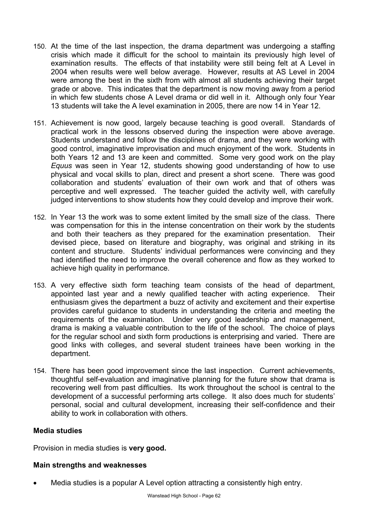- 150. At the time of the last inspection, the drama department was undergoing a staffing crisis which made it difficult for the school to maintain its previously high level of examination results. The effects of that instability were still being felt at A Level in 2004 when results were well below average. However, results at AS Level in 2004 were among the best in the sixth from with almost all students achieving their target grade or above. This indicates that the department is now moving away from a period in which few students chose A Level drama or did well in it. Although only four Year 13 students will take the A level examination in 2005, there are now 14 in Year 12.
- 151. Achievement is now good, largely because teaching is good overall. Standards of practical work in the lessons observed during the inspection were above average. Students understand and follow the disciplines of drama, and they were working with good control, imaginative improvisation and much enjoyment of the work. Students in both Years 12 and 13 are keen and committed. Some very good work on the play *Equus* was seen in Year 12, students showing good understanding of how to use physical and vocal skills to plan, direct and present a short scene. There was good collaboration and students' evaluation of their own work and that of others was perceptive and well expressed. The teacher guided the activity well, with carefully judged interventions to show students how they could develop and improve their work.
- 152. In Year 13 the work was to some extent limited by the small size of the class. There was compensation for this in the intense concentration on their work by the students and both their teachers as they prepared for the examination presentation. Their devised piece, based on literature and biography, was original and striking in its content and structure. Students' individual performances were convincing and they had identified the need to improve the overall coherence and flow as they worked to achieve high quality in performance.
- 153. A very effective sixth form teaching team consists of the head of department, appointed last year and a newly qualified teacher with acting experience. Their enthusiasm gives the department a buzz of activity and excitement and their expertise provides careful guidance to students in understanding the criteria and meeting the requirements of the examination. Under very good leadership and management, drama is making a valuable contribution to the life of the school. The choice of plays for the regular school and sixth form productions is enterprising and varied. There are good links with colleges, and several student trainees have been working in the department.
- 154. There has been good improvement since the last inspection. Current achievements, thoughtful self-evaluation and imaginative planning for the future show that drama is recovering well from past difficulties. Its work throughout the school is central to the development of a successful performing arts college. It also does much for students' personal, social and cultural development, increasing their self-confidence and their ability to work in collaboration with others.

#### **Media studies**

Provision in media studies is **very good.** 

#### **Main strengths and weaknesses**

Media studies is a popular A Level option attracting a consistently high entry.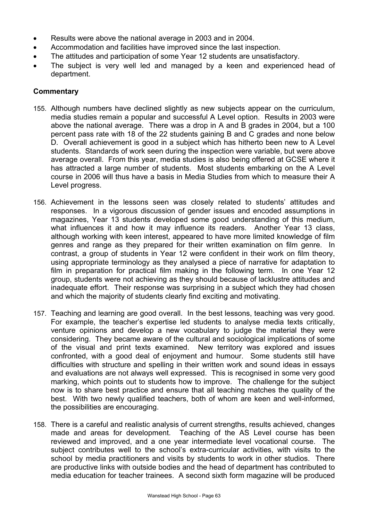- Results were above the national average in 2003 and in 2004.
- Accommodation and facilities have improved since the last inspection.
- The attitudes and participation of some Year 12 students are unsatisfactory.
- The subject is very well led and managed by a keen and experienced head of department.

- 155. Although numbers have declined slightly as new subjects appear on the curriculum, media studies remain a popular and successful A Level option. Results in 2003 were above the national average. There was a drop in A and B grades in 2004, but a 100 percent pass rate with 18 of the 22 students gaining B and C grades and none below D. Overall achievement is good in a subject which has hitherto been new to A Level students. Standards of work seen during the inspection were variable, but were above average overall. From this year, media studies is also being offered at GCSE where it has attracted a large number of students. Most students embarking on the A Level course in 2006 will thus have a basis in Media Studies from which to measure their A Level progress.
- 156. Achievement in the lessons seen was closely related to students' attitudes and responses. In a vigorous discussion of gender issues and encoded assumptions in magazines, Year 13 students developed some good understanding of this medium, what influences it and how it may influence its readers. Another Year 13 class, although working with keen interest, appeared to have more limited knowledge of film genres and range as they prepared for their written examination on film genre. In contrast, a group of students in Year 12 were confident in their work on film theory, using appropriate terminology as they analysed a piece of narrative for adaptation to film in preparation for practical film making in the following term. In one Year 12 group, students were not achieving as they should because of lacklustre attitudes and inadequate effort. Their response was surprising in a subject which they had chosen and which the majority of students clearly find exciting and motivating.
- 157. Teaching and learning are good overall. In the best lessons, teaching was very good. For example, the teacher's expertise led students to analyse media texts critically, venture opinions and develop a new vocabulary to judge the material they were considering. They became aware of the cultural and sociological implications of some of the visual and print texts examined. New territory was explored and issues confronted, with a good deal of enjoyment and humour. Some students still have difficulties with structure and spelling in their written work and sound ideas in essays and evaluations are not always well expressed. This is recognised in some very good marking, which points out to students how to improve. The challenge for the subject now is to share best practice and ensure that all teaching matches the quality of the best. With two newly qualified teachers, both of whom are keen and well-informed, the possibilities are encouraging.
- 158. There is a careful and realistic analysis of current strengths, results achieved, changes made and areas for development. Teaching of the AS Level course has been reviewed and improved, and a one year intermediate level vocational course. The subject contributes well to the school's extra-curricular activities, with visits to the school by media practitioners and visits by students to work in other studios. There are productive links with outside bodies and the head of department has contributed to media education for teacher trainees. A second sixth form magazine will be produced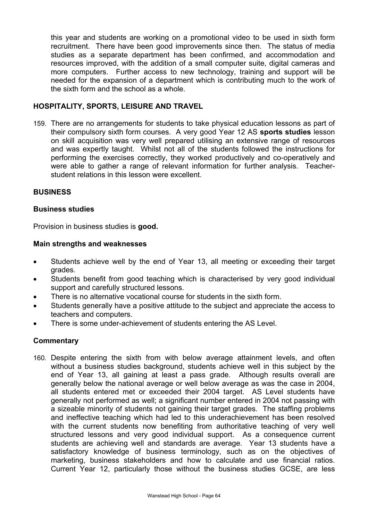this year and students are working on a promotional video to be used in sixth form recruitment. There have been good improvements since then. The status of media studies as a separate department has been confirmed, and accommodation and resources improved, with the addition of a small computer suite, digital cameras and more computers. Further access to new technology, training and support will be needed for the expansion of a department which is contributing much to the work of the sixth form and the school as a whole.

#### **HOSPITALITY, SPORTS, LEISURE AND TRAVEL**

159. There are no arrangements for students to take physical education lessons as part of their compulsory sixth form courses. A very good Year 12 AS **sports studies** lesson on skill acquisition was very well prepared utilising an extensive range of resources and was expertly taught. Whilst not all of the students followed the instructions for performing the exercises correctly, they worked productively and co-operatively and were able to gather a range of relevant information for further analysis. Teacherstudent relations in this lesson were excellent.

#### **BUSINESS**

#### **Business studies**

Provision in business studies is **good.** 

#### **Main strengths and weaknesses**

- Students achieve well by the end of Year 13, all meeting or exceeding their target grades.
- Students benefit from good teaching which is characterised by very good individual support and carefully structured lessons.
- There is no alternative vocational course for students in the sixth form.
- Students generally have a positive attitude to the subject and appreciate the access to teachers and computers.
- There is some under-achievement of students entering the AS Level.

#### **Commentary**

160. Despite entering the sixth from with below average attainment levels, and often without a business studies background, students achieve well in this subject by the end of Year 13, all gaining at least a pass grade. Although results overall are generally below the national average or well below average as was the case in 2004, all students entered met or exceeded their 2004 target. AS Level students have generally not performed as well; a significant number entered in 2004 not passing with a sizeable minority of students not gaining their target grades. The staffing problems and ineffective teaching which had led to this underachievement has been resolved with the current students now benefiting from authoritative teaching of very well structured lessons and very good individual support. As a consequence current students are achieving well and standards are average. Year 13 students have a satisfactory knowledge of business terminology, such as on the objectives of marketing, business stakeholders and how to calculate and use financial ratios. Current Year 12, particularly those without the business studies GCSE, are less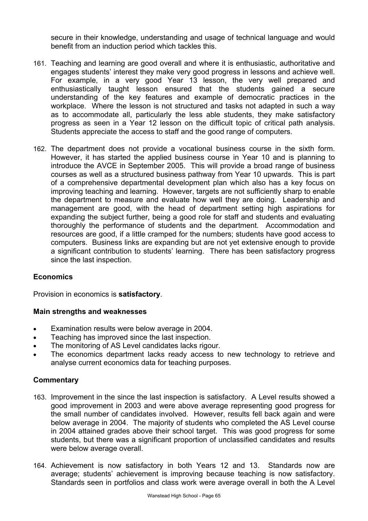secure in their knowledge, understanding and usage of technical language and would benefit from an induction period which tackles this.

- 161. Teaching and learning are good overall and where it is enthusiastic, authoritative and engages students' interest they make very good progress in lessons and achieve well. For example, in a very good Year 13 lesson, the very well prepared and enthusiastically taught lesson ensured that the students gained a secure understanding of the key features and example of democratic practices in the workplace. Where the lesson is not structured and tasks not adapted in such a way as to accommodate all, particularly the less able students, they make satisfactory progress as seen in a Year 12 lesson on the difficult topic of critical path analysis. Students appreciate the access to staff and the good range of computers.
- 162. The department does not provide a vocational business course in the sixth form. However, it has started the applied business course in Year 10 and is planning to introduce the AVCE in September 2005. This will provide a broad range of business courses as well as a structured business pathway from Year 10 upwards. This is part of a comprehensive departmental development plan which also has a key focus on improving teaching and learning. However, targets are not sufficiently sharp to enable the department to measure and evaluate how well they are doing. Leadership and management are good, with the head of department setting high aspirations for expanding the subject further, being a good role for staff and students and evaluating thoroughly the performance of students and the department. Accommodation and resources are good, if a little cramped for the numbers; students have good access to computers. Business links are expanding but are not yet extensive enough to provide a significant contribution to students' learning. There has been satisfactory progress since the last inspection.

### **Economics**

Provision in economics is **satisfactory**.

#### **Main strengths and weaknesses**

- Examination results were below average in 2004.
- Teaching has improved since the last inspection.
- The monitoring of AS Level candidates lacks rigour.
- The economics department lacks ready access to new technology to retrieve and analyse current economics data for teaching purposes.

- 163. Improvement in the since the last inspection is satisfactory. A Level results showed a good improvement in 2003 and were above average representing good progress for the small number of candidates involved. However, results fell back again and were below average in 2004. The majority of students who completed the AS Level course in 2004 attained grades above their school target. This was good progress for some students, but there was a significant proportion of unclassified candidates and results were below average overall.
- 164. Achievement is now satisfactory in both Years 12 and 13. Standards now are average; students' achievement is improving because teaching is now satisfactory. Standards seen in portfolios and class work were average overall in both the A Level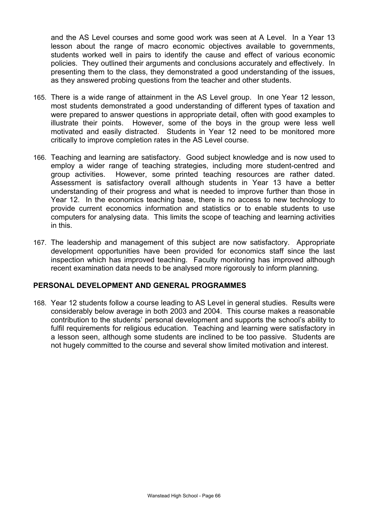and the AS Level courses and some good work was seen at A Level. In a Year 13 lesson about the range of macro economic objectives available to governments, students worked well in pairs to identify the cause and effect of various economic policies. They outlined their arguments and conclusions accurately and effectively. In presenting them to the class, they demonstrated a good understanding of the issues, as they answered probing questions from the teacher and other students.

- 165. There is a wide range of attainment in the AS Level group. In one Year 12 lesson, most students demonstrated a good understanding of different types of taxation and were prepared to answer questions in appropriate detail, often with good examples to illustrate their points. However, some of the boys in the group were less well motivated and easily distracted. Students in Year 12 need to be monitored more critically to improve completion rates in the AS Level course.
- 166. Teaching and learning are satisfactory. Good subject knowledge and is now used to employ a wider range of teaching strategies, including more student-centred and group activities. However, some printed teaching resources are rather dated. Assessment is satisfactory overall although students in Year 13 have a better understanding of their progress and what is needed to improve further than those in Year 12. In the economics teaching base, there is no access to new technology to provide current economics information and statistics or to enable students to use computers for analysing data. This limits the scope of teaching and learning activities in this.
- 167. The leadership and management of this subject are now satisfactory. Appropriate development opportunities have been provided for economics staff since the last inspection which has improved teaching. Faculty monitoring has improved although recent examination data needs to be analysed more rigorously to inform planning.

## **PERSONAL DEVELOPMENT AND GENERAL PROGRAMMES**

168. Year 12 students follow a course leading to AS Level in general studies. Results were considerably below average in both 2003 and 2004. This course makes a reasonable contribution to the students' personal development and supports the school's ability to fulfil requirements for religious education. Teaching and learning were satisfactory in a lesson seen, although some students are inclined to be too passive. Students are not hugely committed to the course and several show limited motivation and interest.